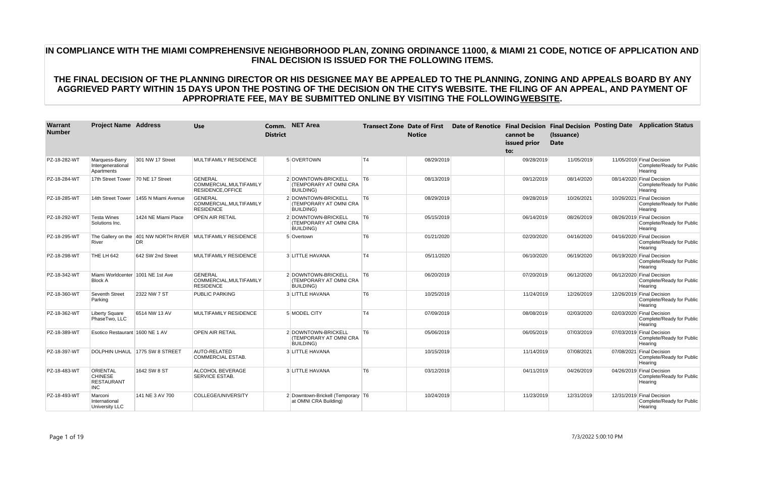| <b>Warrant</b><br><b>Number</b> | <b>Project Name Address</b>                                   |                                | <b>Use</b>                                                            | <b>District</b> | Comm. NET Area                                                     |                | <b>Transect Zone Date of First</b><br><b>Notice</b> | Date of Renotice Final Decision Final Decision Posting Date | cannot be<br>issued prior<br>to: | (Issuance)<br><b>Date</b> | <b>Application Status</b>                                         |
|---------------------------------|---------------------------------------------------------------|--------------------------------|-----------------------------------------------------------------------|-----------------|--------------------------------------------------------------------|----------------|-----------------------------------------------------|-------------------------------------------------------------|----------------------------------|---------------------------|-------------------------------------------------------------------|
| PZ-18-282-WT                    | Marquess-Barry<br>Intergenerational<br>Apartments             | 301 NW 17 Street               | <b>MULTIFAMILY RESIDENCE</b>                                          |                 | 5 OVERTOWN                                                         | T <sub>4</sub> | 08/29/2019                                          |                                                             | 09/28/2019                       | 11/05/2019                | 11/05/2019 Final Decision<br>Complete/Ready for Public<br>Hearing |
| PZ-18-284-WT                    | 17th Street Tower 70 NE 17 Street                             |                                | <b>GENERAL</b><br>COMMERCIAL, MULTIFAMILY<br><b>RESIDENCE, OFFICE</b> |                 | 2 DOWNTOWN-BRICKELL<br>(TEMPORARY AT OMNI CRA<br><b>BUILDING</b> ) | T <sub>6</sub> | 08/13/2019                                          |                                                             | 09/12/2019                       | 08/14/2020                | 08/14/2020 Final Decision<br>Complete/Ready for Public<br>Hearing |
| PZ-18-285-WT                    | 14th Street Tower                                             | 1455 N Miami Avenue            | <b>GENERAL</b><br>COMMERCIAL, MULTIFAMILY<br><b>RESIDENCE</b>         |                 | 2 DOWNTOWN-BRICKELL<br>(TEMPORARY AT OMNI CRA<br><b>BUILDING)</b>  | T <sub>6</sub> | 08/29/2019                                          |                                                             | 09/28/2019                       | 10/26/2021                | 10/26/2021 Final Decision<br>Complete/Ready for Public<br>Hearing |
| PZ-18-292-WT                    | <b>Testa Wines</b><br>Solutions Inc.                          | 1424 NE Miami Place            | <b>OPEN AIR RETAIL</b>                                                |                 | 2 DOWNTOWN-BRICKELL<br>(TEMPORARY AT OMNI CRA<br><b>BUILDING)</b>  | T <sub>6</sub> | 05/15/2019                                          |                                                             | 06/14/2019                       | 08/26/2019                | 08/26/2019 Final Decision<br>Complete/Ready for Public<br>Hearing |
| PZ-18-295-WT                    | River                                                         | <b>DR</b>                      | The Gallery on the 401 NW NORTH RIVER MULTIFAMILY RESIDENCE           |                 | 5 Overtown                                                         | T <sub>6</sub> | 01/21/2020                                          |                                                             | 02/20/2020                       | 04/16/2020                | 04/16/2020 Final Decision<br>Complete/Ready for Public<br>Hearing |
| PZ-18-298-WT                    | THE LH 642                                                    | 642 SW 2nd Street              | <b>MULTIFAMILY RESIDENCE</b>                                          |                 | 3 LITTLE HAVANA                                                    | T <sub>4</sub> | 05/11/2020                                          |                                                             | 06/10/2020                       | 06/19/2020                | 06/19/2020 Final Decision<br>Complete/Ready for Public<br>Hearing |
| PZ-18-342-WT                    | Miami Worldcenter 1001 NE 1st Ave<br><b>Block A</b>           |                                | <b>GENERAL</b><br>COMMERCIAL, MULTIFAMILY<br><b>RESIDENCE</b>         |                 | 2 DOWNTOWN-BRICKELL<br>(TEMPORARY AT OMNI CRA<br><b>BUILDING)</b>  | T <sub>6</sub> | 06/20/2019                                          |                                                             | 07/20/2019                       | 06/12/2020                | 06/12/2020 Final Decision<br>Complete/Ready for Public<br>Hearing |
| PZ-18-360-WT                    | Seventh Street<br>Parking                                     | 2322 NW 7 ST                   | <b>PUBLIC PARKING</b>                                                 |                 | <b>3 LITTLE HAVANA</b>                                             | T <sub>6</sub> | 10/25/2019                                          |                                                             | 11/24/2019                       | 12/26/2019                | 12/26/2019 Final Decision<br>Complete/Ready for Public<br>Hearing |
| PZ-18-362-WT                    | <b>Liberty Square</b><br>PhaseTwo, LLC                        | 6514 NW 13 AV                  | <b>MULTIFAMILY RESIDENCE</b>                                          |                 | 5 MODEL CITY                                                       | T <sub>4</sub> | 07/09/2019                                          |                                                             | 08/08/2019                       | 02/03/2020                | 02/03/2020 Final Decision<br>Complete/Ready for Public<br>Hearing |
| PZ-18-389-WT                    | Esotico Restaurant 1600 NE 1 AV                               |                                | <b>OPEN AIR RETAIL</b>                                                |                 | 2 DOWNTOWN-BRICKELL<br>(TEMPORARY AT OMNI CRA<br><b>BUILDING</b> ) | T <sub>6</sub> | 05/06/2019                                          |                                                             | 06/05/2019                       | 07/03/2019                | 07/03/2019 Final Decision<br>Complete/Ready for Public<br>Hearing |
| PZ-18-397-WT                    |                                                               | DOLPHIN UHAUL 1775 SW 8 STREET | AUTO-RELATED<br>COMMERCIAL ESTAB.                                     |                 | 3 LITTLE HAVANA                                                    |                | 10/15/2019                                          |                                                             | 11/14/2019                       | 07/08/2021                | 07/08/2021 Final Decision<br>Complete/Ready for Public<br>Hearing |
| PZ-18-483-WT                    | ORIENTAL<br><b>CHINESE</b><br><b>RESTAURANT</b><br><b>INC</b> | 1642 SW 8 ST                   | <b>ALCOHOL BEVERAGE</b><br><b>SERVICE ESTAB.</b>                      |                 | 3 LITTLE HAVANA                                                    | T <sub>6</sub> | 03/12/2019                                          |                                                             | 04/11/2019                       | 04/26/2019                | 04/26/2019 Final Decision<br>Complete/Ready for Public<br>Hearing |
| PZ-18-493-WT                    | Marconi<br>International<br><b>University LLC</b>             | 141 NE 3 AV 700                | COLLEGE/UNIVERSITY                                                    |                 | 2 Downtown-Brickell (Temporary T6<br>at OMNI CRA Building)         |                | 10/24/2019                                          |                                                             | 11/23/2019                       | 12/31/2019                | 12/31/2019 Final Decision<br>Complete/Ready for Public<br>Hearing |

Page 1 of 19 7/3/2022 5:00:10 PM

# **IN COMPLIANCE WITH THE MIAMI COMPREHENSIVE NEIGHBORHOOD PLAN, ZONING ORDINANCE 11000, & MIAMI 21 CODE, NOTICE OF APPLICATION AND FINAL DECISION IS ISSUED FOR THE FOLLOWING ITEMS.**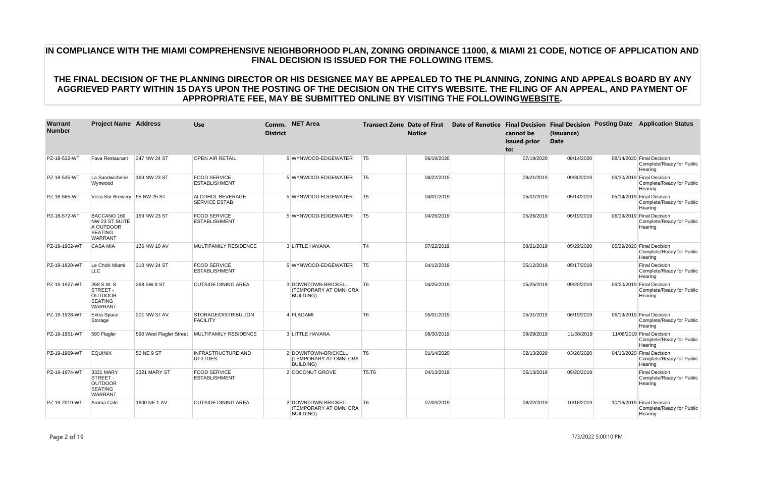| <b>Warrant</b><br><b>Number</b> | <b>Project Name Address</b>                                                    |                         | <b>Use</b>                                    | <b>District</b> | Comm. NET Area                                                            |                | <b>Transect Zone Date of First</b><br><b>Notice</b> | cannot be<br>issued prior<br>to: | (Issuance)<br><b>Date</b> | Date of Renotice Final Decision Final Decision Posting Date Application Status |
|---------------------------------|--------------------------------------------------------------------------------|-------------------------|-----------------------------------------------|-----------------|---------------------------------------------------------------------------|----------------|-----------------------------------------------------|----------------------------------|---------------------------|--------------------------------------------------------------------------------|
| PZ-18-532-WT                    | <b>Fava Restaurant</b>                                                         | 347 NW 24 ST            | <b>OPEN AIR RETAIL</b>                        |                 | 5 WYNWOOD-EDGEWATER                                                       | T <sub>5</sub> | 06/19/2020                                          | 07/19/2020                       | 08/14/2020                | 08/14/2020 Final Decision<br>Complete/Ready for Public<br>Hearing              |
| PZ-18-535-WT                    | La Sandwicherie<br>Wynwood                                                     | 169 NW 23 ST            | FOOD SERVICE<br><b>ESTABLISHMENT</b>          |                 | 5 WYNWOOD-EDGEWATER                                                       | T5             | 08/22/2019                                          | 09/21/2019                       | 09/30/2019                | 09/30/2019 Final Decision<br>Complete/Ready for Public<br>Hearing              |
| PZ-18-565-WT                    | Veza Sur Brewery 55 NW 25 ST                                                   |                         | <b>ALCOHOL BEVERAGE</b><br>SERVICE ESTAB.     |                 | 5 WYNWOOD-EDGEWATER                                                       | T5             | 04/01/2019                                          | 05/01/2019                       | 05/14/2019                | 05/14/2019 Final Decision<br>Complete/Ready for Public<br>Hearing              |
| PZ-18-572-WT                    | BACCANO 169<br>NW 23 ST SUITE<br>A OUTDOOR<br><b>SEATING</b><br><b>WARRANT</b> | 169 NW 23 ST            | <b>FOOD SERVICE</b><br><b>ESTABLISHMENT</b>   |                 | 5 WYNWOOD-EDGEWATER                                                       | T5             | 04/26/2019                                          | 05/26/2019                       | 06/19/2019                | 06/19/2019 Final Decision<br>Complete/Ready for Public<br>Hearing              |
| PZ-19-1902-WT                   | <b>CASA MIA</b>                                                                | 126 NW 10 AV            | <b>MULTIFAMILY RESIDENCE</b>                  |                 | <b>3 LITTLE HAVANA</b>                                                    | T4             | 07/22/2019                                          | 08/21/2019                       | 05/29/2020                | 05/29/2020 Final Decision<br>Complete/Ready for Public<br>Hearing              |
| PZ-19-1920-WT                   | Le Chick Miami<br>LLC                                                          | 310 NW 24 ST            | <b>FOOD SERVICE</b><br><b>ESTABLISHMENT</b>   |                 | 5 WYNWOOD-EDGEWATER                                                       | T5             | 04/12/2019                                          | 05/12/2019                       | 05/17/2019                | <b>Final Decision</b><br>Complete/Ready for Public<br>Hearing                  |
| PZ-19-1927-WT                   | 268 S.W. 8<br>STREET -<br><b>OUTDOOR</b><br><b>SEATING</b><br><b>WARRANT</b>   | 268 SW 8 ST             | <b>OUTSIDE DINING AREA</b>                    |                 | 3 DOWNTOWN-BRICKELL<br>(TEMPORARY AT OMNI CRA<br><b>BUILDING)</b>         | T <sub>6</sub> | 04/25/2019                                          | 05/25/2019                       | 09/20/2019                | 09/20/2019 Final Decision<br>Complete/Ready for Public<br>Hearing              |
| PZ-19-1928-WT                   | <b>Extra Space</b><br>Storage                                                  | 201 NW 37 AV            | STORAGE/DISTRIBULION<br><b>FACILITY</b>       |                 | 4 FLAGAMI                                                                 | T <sub>6</sub> | 05/01/2019                                          | 05/31/2019                       | 06/19/2019                | 06/19/2019 Final Decision<br>Complete/Ready for Public<br>Hearing              |
| PZ-19-1951-WT                   | 590 Flagler                                                                    | 590 West Flagler Street | MULTIFAMILY RESIDENCE                         |                 | <b>3 LITTLE HAVANA</b>                                                    |                | 08/30/2019                                          | 09/29/2019                       | 11/08/2019                | 11/08/2019 Final Decision<br>Complete/Ready for Public<br>Hearing              |
| PZ-19-1969-WT                   | <b>EQUINIX</b>                                                                 | 50 NE 9 ST              | <b>INFRASTRUCTURE AND</b><br><b>UTILITIES</b> |                 | 2 DOWNTOWN-BRICKELL<br><b>(TEMPORARY AT OMNI CRA</b><br><b>BUILDING</b> ) | T6             | 01/14/2020                                          | 02/13/2020                       | 03/26/2020                | 04/10/2020 Final Decision<br>Complete/Ready for Public<br>Hearing              |
| PZ-19-1974-WT                   | 3321 MARY<br>STREET -<br><b>OUTDOOR</b><br><b>SEATING</b><br><b>WARRANT</b>    | 3321 MARY ST            | <b>FOOD SERVICE</b><br><b>ESTABLISHMENT</b>   |                 | 2 COCONUT GROVE                                                           | T5, T6         | 04/13/2019                                          | 05/13/2019                       | 05/20/2019                | <b>Final Decision</b><br>Complete/Ready for Public<br>Hearing                  |
| PZ-19-2019-WT                   | Aroma Cafe                                                                     | 1600 NE 1 AV            | <b>OUTSIDE DINING AREA</b>                    |                 | 2 DOWNTOWN-BRICKELL<br>(TEMPORARY AT OMNI CRA<br><b>BUILDING)</b>         | T <sub>6</sub> | 07/03/2019                                          | 08/02/2019                       | 10/16/2019                | 10/16/2019 Final Decision<br>Complete/Ready for Public<br>Hearing              |

Page 2 of 19 7/3/2022 5:00:10 PM

# **IN COMPLIANCE WITH THE MIAMI COMPREHENSIVE NEIGHBORHOOD PLAN, ZONING ORDINANCE 11000, & MIAMI 21 CODE, NOTICE OF APPLICATION AND FINAL DECISION IS ISSUED FOR THE FOLLOWING ITEMS.**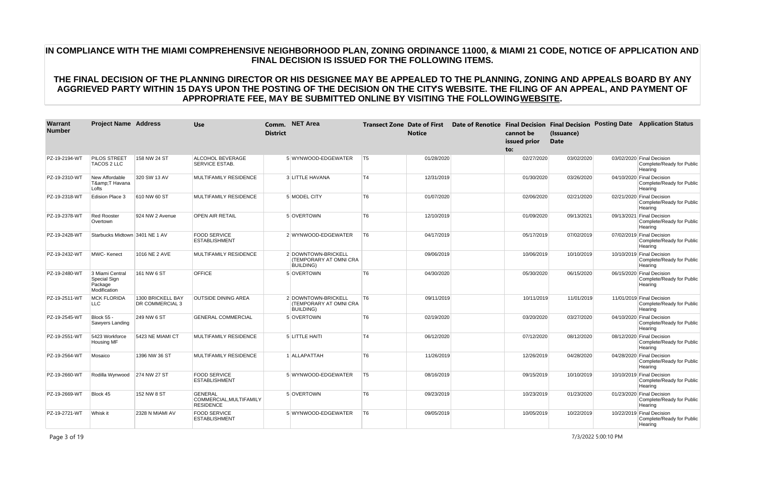| <b>Warrant</b><br><b>Number</b> | <b>Project Name Address</b>                                |                                             | <b>Use</b>                                                    | <b>District</b> | Comm. NET Area                                                    |                | <b>Transect Zone Date of First</b><br><b>Notice</b> | cannot be<br>issued prior<br>to: | (Issuance)<br><b>Date</b> | Date of Renotice Final Decision Final Decision Posting Date Application Status |
|---------------------------------|------------------------------------------------------------|---------------------------------------------|---------------------------------------------------------------|-----------------|-------------------------------------------------------------------|----------------|-----------------------------------------------------|----------------------------------|---------------------------|--------------------------------------------------------------------------------|
| PZ-19-2194-WT                   | PILOS STREET<br><b>TACOS 2 LLC</b>                         | 158 NW 24 ST                                | ALCOHOL BEVERAGE<br><b>SERVICE ESTAB.</b>                     |                 | 5 WYNWOOD-EDGEWATER                                               | T5             | 01/28/2020                                          | 02/27/2020                       | 03/02/2020                | 03/02/2020 Final Decision<br>Complete/Ready for Public<br>Hearing              |
| PZ-19-2310-WT                   | New Affordable<br>T&T Havana<br>Lofts                      | 320 SW 13 AV                                | MULTIFAMILY RESIDENCE                                         |                 | 3 LITTLE HAVANA                                                   | T4             | 12/31/2019                                          | 01/30/2020                       | 03/26/2020                | 04/10/2020 Final Decision<br>Complete/Ready for Public<br>Hearing              |
| PZ-19-2318-WT                   | Edision Place 3                                            | 610 NW 60 ST                                | MULTIFAMILY RESIDENCE                                         |                 | 5 MODEL CITY                                                      | T6             | 01/07/2020                                          | 02/06/2020                       | 02/21/2020                | 02/21/2020 Final Decision<br>Complete/Ready for Public<br>Hearing              |
| PZ-19-2378-WT                   | <b>Red Rooster</b><br>Overtown                             | 924 NW 2 Avenue                             | <b>OPEN AIR RETAIL</b>                                        |                 | 5 OVERTOWN                                                        | T6             | 12/10/2019                                          | 01/09/2020                       | 09/13/2021                | 09/13/2021 Final Decision<br>Complete/Ready for Public<br>Hearing              |
| PZ-19-2428-WT                   | Starbucks Midtown 3401 NE 1 AV                             |                                             | <b>FOOD SERVICE</b><br><b>ESTABLISHMENT</b>                   |                 | 2 WYNWOOD-EDGEWATER                                               | T6             | 04/17/2019                                          | 05/17/2019                       | 07/02/2019                | 07/02/2019 Final Decision<br>Complete/Ready for Public<br>Hearing              |
| PZ-19-2432-WT                   | <b>MWC-Kenect</b>                                          | 1016 NE 2 AVE                               | MULTIFAMILY RESIDENCE                                         |                 | 2 DOWNTOWN-BRICKELL<br>(TEMPORARY AT OMNI CRA<br><b>BUILDING)</b> |                | 09/06/2019                                          | 10/06/2019                       | 10/10/2019                | 10/10/2019 Final Decision<br>Complete/Ready for Public<br>Hearing              |
| PZ-19-2480-WT                   | 3 Miami Central<br>Special Sign<br>Package<br>Modification | 161 NW 6 ST                                 | <b>OFFICE</b>                                                 |                 | 5 OVERTOWN                                                        | T6             | 04/30/2020                                          | 05/30/2020                       | 06/15/2020                | 06/15/2020 Final Decision<br>Complete/Ready for Public<br>Hearing              |
| PZ-19-2511-WT                   | <b>MCK FLORIDA</b><br>LLC                                  | 1300 BRICKELL BAY<br><b>DR COMMERCIAL 3</b> | <b>OUTSIDE DINING AREA</b>                                    |                 | 2 DOWNTOWN-BRICKELL<br>(TEMPORARY AT OMNI CRA<br><b>BUILDING)</b> | T6             | 09/11/2019                                          | 10/11/2019                       | 11/01/2019                | 11/01/2019 Final Decision<br>Complete/Ready for Public<br>Hearing              |
| PZ-19-2545-WT                   | <b>Block 55 -</b><br>Sawyers Landing                       | 249 NW 6 ST                                 | <b>GENERAL COMMERCIAL</b>                                     |                 | 5 OVERTOWN                                                        | T6             | 02/19/2020                                          | 03/20/2020                       | 03/27/2020                | 04/10/2020 Final Decision<br>Complete/Ready for Public<br>Hearing              |
| PZ-19-2551-WT                   | 5423 Workforce<br><b>Housing MF</b>                        | 5423 NE MIAMI CT                            | MULTIFAMILY RESIDENCE                                         |                 | 5 LITTLE HAITI                                                    | T4             | 06/12/2020                                          | 07/12/2020                       | 08/12/2020                | 08/12/2020 Final Decision<br>Complete/Ready for Public<br>Hearing              |
| PZ-19-2564-WT                   | Mosaico                                                    | 1396 NW 36 ST                               | MULTIFAMILY RESIDENCE                                         |                 | 1 ALLAPATTAH                                                      | T6             | 11/26/2019                                          | 12/26/2019                       | 04/28/2020                | 04/28/2020 Final Decision<br>Complete/Ready for Public<br>Hearing              |
| PZ-19-2660-WT                   | Rodilla Wynwood                                            | 274 NW 27 ST                                | <b>FOOD SERVICE</b><br><b>ESTABLISHMENT</b>                   |                 | 5 WYNWOOD-EDGEWATER                                               | T <sub>5</sub> | 08/16/2019                                          | 09/15/2019                       | 10/10/2019                | 10/10/2019 Final Decision<br>Complete/Ready for Public<br>Hearing              |
| PZ-19-2669-WT                   | Block 45                                                   | 152 NW 8 ST                                 | <b>GENERAL</b><br>COMMERCIAL, MULTIFAMILY<br><b>RESIDENCE</b> |                 | 5 OVERTOWN                                                        | T6             | 09/23/2019                                          | 10/23/2019                       | 01/23/2020                | 01/23/2020 Final Decision<br>Complete/Ready for Public<br>Hearing              |
| PZ-19-2721-WT                   | Whisk it                                                   | 2328 N MIAMI AV                             | <b>FOOD SERVICE</b><br><b>ESTABLISHMENT</b>                   |                 | 5 WYNWOOD-EDGEWATER                                               | T6             | 09/05/2019                                          | 10/05/2019                       | 10/22/2019                | 10/22/2019 Final Decision<br>Complete/Ready for Public<br>Hearing              |

Page 3 of 19 7/3/2022 5:00:10 PM

# **IN COMPLIANCE WITH THE MIAMI COMPREHENSIVE NEIGHBORHOOD PLAN, ZONING ORDINANCE 11000, & MIAMI 21 CODE, NOTICE OF APPLICATION AND FINAL DECISION IS ISSUED FOR THE FOLLOWING ITEMS.**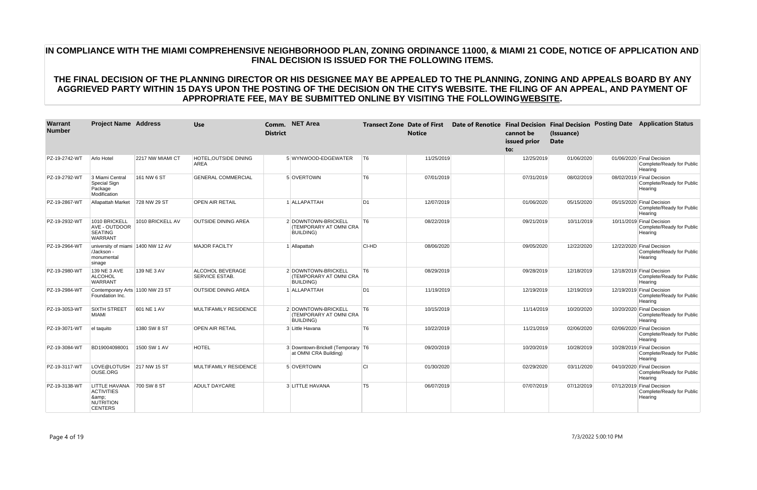| <b>Warrant</b><br><b>Number</b> | <b>Project Name Address</b>                                                   |                  | <b>Use</b>                                       | <b>District</b> | Comm. NET Area                                                            |                | <b>Transect Zone Date of First</b><br><b>Notice</b> | cannot be<br>issued prior<br>to: | (Issuance)<br><b>Date</b> | Date of Renotice Final Decision Final Decision Posting Date Application Status |
|---------------------------------|-------------------------------------------------------------------------------|------------------|--------------------------------------------------|-----------------|---------------------------------------------------------------------------|----------------|-----------------------------------------------------|----------------------------------|---------------------------|--------------------------------------------------------------------------------|
| PZ-19-2742-WT                   | Arlo Hotel                                                                    | 2217 NW MIAMI CT | <b>HOTEL.OUTSIDE DINING</b><br><b>AREA</b>       |                 | 5 WYNWOOD-EDGEWATER                                                       | T6             | 11/25/2019                                          | 12/25/2019                       | 01/06/2020                | 01/06/2020 Final Decision<br>Complete/Ready for Public<br>Hearing              |
| PZ-19-2792-WT                   | 3 Miami Central<br>Special Sign<br>Package<br>Modification                    | 161 NW 6 ST      | <b>GENERAL COMMERCIAL</b>                        |                 | 5 OVERTOWN                                                                | T6             | 07/01/2019                                          | 07/31/2019                       | 08/02/2019                | 08/02/2019 Final Decision<br>Complete/Ready for Public<br>Hearing              |
| PZ-19-2867-WT                   | <b>Allapattah Market</b>                                                      | 728 NW 29 ST     | <b>OPEN AIR RETAIL</b>                           |                 | 1 ALLAPATTAH                                                              | D <sub>1</sub> | 12/07/2019                                          | 01/06/2020                       | 05/15/2020                | 05/15/2020 Final Decision<br>Complete/Ready for Public<br>Hearing              |
| PZ-19-2932-WT                   | 1010 BRICKELL<br>AVE - OUTDOOR<br><b>SEATING</b><br><b>WARRANT</b>            | 1010 BRICKELL AV | <b>OUTSIDE DINING AREA</b>                       |                 | 2 DOWNTOWN-BRICKELL<br>(TEMPORARY AT OMNI CRA<br><b>BUILDING</b> )        | T <sub>6</sub> | 08/22/2019                                          | 09/21/2019                       | 10/11/2019                | 10/11/2019 Final Decision<br>Complete/Ready for Public<br>Hearing              |
| PZ-19-2964-WT                   | university of miami 1400 NW 12 AV<br>/Jackson -<br>monumental<br>sinage       |                  | <b>MAJOR FACILTY</b>                             |                 | 1 Allapattah                                                              | CI-HD          | 08/06/2020                                          | 09/05/2020                       | 12/22/2020                | 12/22/2020 Final Decision<br>Complete/Ready for Public<br>Hearing              |
| PZ-19-2980-WT                   | 139 NE 3 AVE<br>ALCOHOL<br><b>WARRANT</b>                                     | 139 NE 3 AV      | <b>ALCOHOL BEVERAGE</b><br><b>SERVICE ESTAB.</b> |                 | 2 DOWNTOWN-BRICKELL<br><b>(TEMPORARY AT OMNI CRA</b><br><b>BUILDING</b> ) | T6             | 08/29/2019                                          | 09/28/2019                       | 12/18/2019                | 12/18/2019 Final Decision<br>Complete/Ready for Public<br>Hearing              |
| PZ-19-2984-WT                   | Contemporary Arts 1100 NW 23 ST<br>Foundation Inc.                            |                  | <b>OUTSIDE DINING AREA</b>                       |                 | 1 ALLAPATTAH                                                              | D <sub>1</sub> | 11/19/2019                                          | 12/19/2019                       | 12/19/2019                | 12/19/2019 Final Decision<br>Complete/Ready for Public<br>Hearing              |
| PZ-19-3053-WT                   | <b>SIXTH STREET</b><br><b>MIAMI</b>                                           | 601 NE 1 AV      | MULTIFAMILY RESIDENCE                            |                 | 2 DOWNTOWN-BRICKELL<br>(TEMPORARY AT OMNI CRA<br><b>BUILDING</b> )        | T6             | 10/15/2019                                          | 11/14/2019                       | 10/20/2020                | 10/20/2020 Final Decision<br>Complete/Ready for Public<br>Hearing              |
| PZ-19-3071-WT                   | el taquito                                                                    | 1380 SW 8 ST     | <b>OPEN AIR RETAIL</b>                           |                 | 3 Little Havana                                                           | T6             | 10/22/2019                                          | 11/21/2019                       | 02/06/2020                | 02/06/2020 Final Decision<br>Complete/Ready for Public<br>Hearing              |
| PZ-19-3084-WT                   | BD19004098001                                                                 | 1500 SW 1 AV     | <b>HOTEL</b>                                     |                 | 3 Downtown-Brickell (Temporary T6<br>at OMNI CRA Building)                |                | 09/20/2019                                          | 10/20/2019                       | 10/28/2019                | 10/28/2019 Final Decision<br>Complete/Ready for Public<br>Hearing              |
| PZ-19-3117-WT                   | LOVE@LOTUSH 217 NW 15 ST<br>OUSE.ORG                                          |                  | MULTIFAMILY RESIDENCE                            |                 | 5 OVERTOWN                                                                | lcı.           | 01/30/2020                                          | 02/29/2020                       | 03/11/2020                | 04/10/2020 Final Decision<br>Complete/Ready for Public<br>Hearing              |
| PZ-19-3138-WT                   | LITTLE HAVANA<br><b>ACTIVITIES</b><br>&<br><b>NUTRITION</b><br><b>CENTERS</b> | 700 SW 8 ST      | <b>ADULT DAYCARE</b>                             |                 | 3 LITTLE HAVANA                                                           | T5             | 06/07/2019                                          | 07/07/2019                       | 07/12/2019                | 07/12/2019 Final Decision<br>Complete/Ready for Public<br>Hearing              |

Page 4 of 19 7/3/2022 5:00:10 PM

# **IN COMPLIANCE WITH THE MIAMI COMPREHENSIVE NEIGHBORHOOD PLAN, ZONING ORDINANCE 11000, & MIAMI 21 CODE, NOTICE OF APPLICATION AND FINAL DECISION IS ISSUED FOR THE FOLLOWING ITEMS.**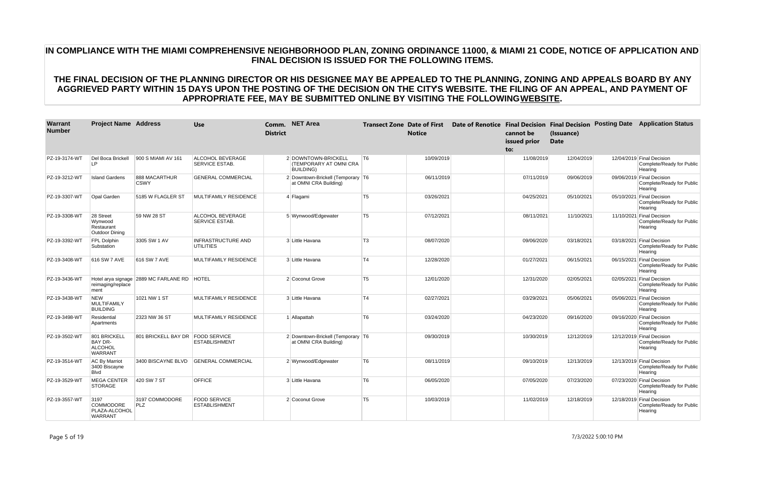| Warrant<br><b>Number</b> | <b>Project Name Address</b>                                 |                                       | <b>Use</b>                                  | <b>District</b> | Comm. NET Area                                                            |                | <b>Transect Zone Date of First</b><br><b>Notice</b> | cannot be<br>issued prior<br>to: | (Issuance)<br><b>Date</b> | Date of Renotice Final Decision Final Decision Posting Date Application Status |
|--------------------------|-------------------------------------------------------------|---------------------------------------|---------------------------------------------|-----------------|---------------------------------------------------------------------------|----------------|-----------------------------------------------------|----------------------------------|---------------------------|--------------------------------------------------------------------------------|
| PZ-19-3174-WT            | Del Boca Brickell<br>LP                                     | 900 S MIAMI AV 161                    | ALCOHOL BEVERAGE<br><b>SERVICE ESTAB.</b>   |                 | 2 DOWNTOWN-BRICKELL<br><b>(TEMPORARY AT OMNI CRA)</b><br><b>BUILDING)</b> | T6             | 10/09/2019                                          | 11/08/2019                       | 12/04/2019                | 12/04/2019 Final Decision<br>Complete/Ready for Public<br>Hearing              |
| PZ-19-3212-WT            | <b>Island Gardens</b>                                       | 888 MACARTHUR<br><b>CSWY</b>          | <b>GENERAL COMMERCIAL</b>                   |                 | 2 Downtown-Brickell (Temporary T6<br>at OMNI CRA Building)                |                | 06/11/2019                                          | 07/11/2019                       | 09/06/2019                | 09/06/2019 Final Decision<br>Complete/Ready for Public<br>Hearing              |
| PZ-19-3307-WT            | Opal Garden                                                 | 5185 W FLAGLER ST                     | MULTIFAMILY RESIDENCE                       |                 | 4 Flagami                                                                 | T <sub>5</sub> | 03/26/2021                                          | 04/25/2021                       | 05/10/2021                | 05/10/2021 Final Decision<br>Complete/Ready for Public<br>Hearing              |
| PZ-19-3308-WT            | 28 Street<br>Wynwood<br>Restaurant<br>Outdoor Dining        | 59 NW 28 ST                           | ALCOHOL BEVERAGE<br>SERVICE ESTAB.          |                 | 5 Wynwood/Edgewater                                                       | T5             | 07/12/2021                                          | 08/11/2021                       | 11/10/2021                | 11/10/2021 Final Decision<br>Complete/Ready for Public<br>Hearing              |
| PZ-19-3392-WT            | FPL Dolphin<br>Substation                                   | 3305 SW 1 AV                          | INFRASTRUCTURE AND<br><b>UTILITIES</b>      |                 | 3 Little Havana                                                           | T3             | 08/07/2020                                          | 09/06/2020                       | 03/18/2021                | 03/18/2021 Final Decision<br>Complete/Ready for Public<br>Hearing              |
| PZ-19-3408-WT            | 616 SW 7 AVE                                                | 616 SW 7 AVE                          | MULTIFAMILY RESIDENCE                       |                 | 3 Little Havana                                                           | T4             | 12/28/2020                                          | 01/27/2021                       | 06/15/2021                | 06/15/2021 Final Decision<br>Complete/Ready for Public<br>Hearing              |
| PZ-19-3436-WT            | reimaging/replace<br>ment                                   | Hotel arya signage 2889 MC FARLANE RD | <b>HOTEL</b>                                |                 | 2 Coconut Grove                                                           | T <sub>5</sub> | 12/01/2020                                          | 12/31/2020                       | 02/05/2021                | 02/05/2021 Final Decision<br>Complete/Ready for Public<br>Hearing              |
| PZ-19-3438-WT            | <b>NEW</b><br><b>MULTIFAMILY</b><br><b>BUILDING</b>         | 1021 NW 1 ST                          | MULTIFAMILY RESIDENCE                       |                 | 3 Little Havana                                                           | T4             | 02/27/2021                                          | 03/29/2021                       | 05/06/2021                | 05/06/2021 Final Decision<br>Complete/Ready for Public<br>Hearing              |
| PZ-19-3498-WT            | Residential<br>Apartments                                   | 2323 NW 36 ST                         | <b>MULTIFAMILY RESIDENCE</b>                |                 | 1 Allapattah                                                              | T6             | 03/24/2020                                          | 04/23/2020                       | 09/16/2020                | 09/16/2020 Final Decision<br>Complete/Ready for Public<br>Hearing              |
| PZ-19-3502-WT            | 801 BRICKELL<br>BAY DR-<br>ALCOHOL<br><b>WARRANT</b>        | 801 BRICKELL BAY DR FOOD SERVICE      | <b>ESTABLISHMENT</b>                        |                 | 2 Downtown-Brickell (Temporary T6<br>at OMNI CRA Building)                |                | 09/30/2019                                          | 10/30/2019                       | 12/12/2019                | 12/12/2019 Final Decision<br>Complete/Ready for Public<br>Hearing              |
| PZ-19-3514-WT            | <b>AC By Marriot</b><br>3400 Biscayne<br><b>Blvd</b>        | 3400 BISCAYNE BLVD                    | <b>GENERAL COMMERCIAL</b>                   |                 | 2 Wynwood/Edgewater                                                       | T6             | 08/11/2019                                          | 09/10/2019                       | 12/13/2019                | 12/13/2019 Final Decision<br>Complete/Ready for Public<br>Hearing              |
| PZ-19-3529-WT            | <b>MEGA CENTER</b><br><b>STORAGE</b>                        | 420 SW 7 ST                           | <b>OFFICE</b>                               |                 | 3 Little Havana                                                           | T6             | 06/05/2020                                          | 07/05/2020                       | 07/23/2020                | 07/23/2020 Final Decision<br>Complete/Ready for Public<br>Hearing              |
| PZ-19-3557-WT            | 3197<br><b>COMMODORE</b><br>PLAZA-ALCOHOL<br><b>WARRANT</b> | 3197 COMMODORE<br>PLZ                 | <b>FOOD SERVICE</b><br><b>ESTABLISHMENT</b> |                 | 2 Coconut Grove                                                           | T5             | 10/03/2019                                          | 11/02/2019                       | 12/18/2019                | 12/18/2019 Final Decision<br>Complete/Ready for Public<br>Hearing              |

Page 5 of 19 7/3/2022 5:00:10 PM

# **IN COMPLIANCE WITH THE MIAMI COMPREHENSIVE NEIGHBORHOOD PLAN, ZONING ORDINANCE 11000, & MIAMI 21 CODE, NOTICE OF APPLICATION AND FINAL DECISION IS ISSUED FOR THE FOLLOWING ITEMS.**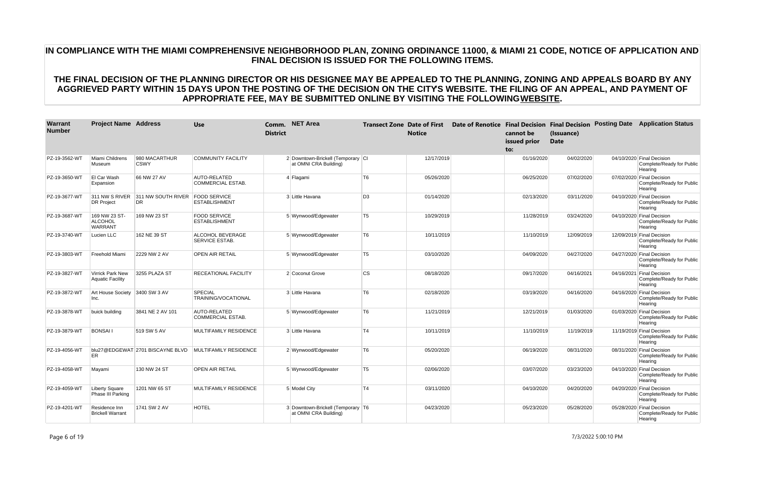| Warrant<br><b>Number</b> | <b>Project Name Address</b>                        |                                        | <b>Use</b>                                  | <b>District</b> | Comm. NET Area                                             |                | <b>Transect Zone Date of First</b><br><b>Notice</b> | cannot be<br>issued prior<br>to: | (Issuance)<br><b>Date</b> | Date of Renotice Final Decision Final Decision Posting Date Application Status |
|--------------------------|----------------------------------------------------|----------------------------------------|---------------------------------------------|-----------------|------------------------------------------------------------|----------------|-----------------------------------------------------|----------------------------------|---------------------------|--------------------------------------------------------------------------------|
| PZ-19-3562-WT            | Miami Childrens<br>Museum                          | 980 MACARTHUR<br><b>CSWY</b>           | <b>COMMUNITY FACILITY</b>                   |                 | 2 Downtown-Brickell (Temporary CI<br>at OMNI CRA Building) |                | 12/17/2019                                          | 01/16/2020                       | 04/02/2020                | 04/10/2020 Final Decision<br>Complete/Ready for Public<br>Hearing              |
| PZ-19-3650-WT            | El Car Wash<br>Expansion                           | 66 NW 27 AV                            | AUTO-RELATED<br><b>COMMERCIAL ESTAB.</b>    |                 | 4 Flagami                                                  | T <sub>6</sub> | 05/26/2020                                          | 06/25/2020                       | 07/02/2020                | 07/02/2020 Final Decision<br>Complete/Ready for Public<br>Hearing              |
| PZ-19-3677-WT            | 311 NW S RIVER<br><b>DR Project</b>                | 311 NW SOUTH RIVER FOOD SERVICE<br>DR. | <b>ESTABLISHMENT</b>                        |                 | 3 Little Havana                                            | D <sub>3</sub> | 01/14/2020                                          | 02/13/2020                       | 03/11/2020                | 04/10/2020 Final Decision<br>Complete/Ready for Public<br>Hearing              |
| PZ-19-3687-WT            | 169 NW 23 ST-<br><b>ALCOHOL</b><br><b>WARRANT</b>  | 169 NW 23 ST                           | <b>FOOD SERVICE</b><br><b>ESTABLISHMENT</b> |                 | 5 Wynwood/Edgewater                                        | T5             | 10/29/2019                                          | 11/28/2019                       | 03/24/2020                | 04/10/2020 Final Decision<br>Complete/Ready for Public<br>Hearing              |
| PZ-19-3740-WT            | Lucien LLC                                         | 162 NE 39 ST                           | ALCOHOL BEVERAGE<br>SERVICE ESTAB.          |                 | 5 Wynwood/Edgewater                                        | T6             | 10/11/2019                                          | 11/10/2019                       | 12/09/2019                | 12/09/2019 Final Decision<br>Complete/Ready for Public<br>Hearing              |
| PZ-19-3803-WT            | Freehold Miami                                     | 2229 NW 2 AV                           | <b>OPEN AIR RETAIL</b>                      |                 | 5 Wynwood/Edgewater                                        | T5             | 03/10/2020                                          | 04/09/2020                       | 04/27/2020                | 04/27/2020 Final Decision<br>Complete/Ready for Public<br>Hearing              |
| PZ-19-3827-WT            | <b>Virrick Park New</b><br><b>Aquatic Facility</b> | 3255 PLAZA ST                          | RECEATIONAL FACILITY                        |                 | 2 Coconut Grove                                            | cs             | 08/18/2020                                          | 09/17/2020                       | 04/16/2021                | 04/16/2021 Final Decision<br>Complete/Ready for Public<br>Hearing              |
| PZ-19-3872-WT            | Art House Society<br>Inc.                          | 3400 SW 3 AV                           | <b>SPECIAL</b><br>TRAINING/VOCATIONAL       |                 | 3 Little Havana                                            | T6             | 02/18/2020                                          | 03/19/2020                       | 04/16/2020                | 04/16/2020 Final Decision<br>Complete/Ready for Public<br>Hearing              |
| PZ-19-3878-WT            | buick building                                     | 3841 NE 2 AV 101                       | AUTO-RELATED<br><b>COMMERCIAL ESTAB.</b>    |                 | 5 Wynwood/Edgewater                                        | T6             | 11/21/2019                                          | 12/21/2019                       | 01/03/2020                | 01/03/2020 Final Decision<br>Complete/Ready for Public<br>Hearing              |
| PZ-19-3879-WT            | <b>BONSAI</b>                                      | 519 SW 5 AV                            | <b>MULTIFAMILY RESIDENCE</b>                |                 | 3 Little Havana                                            | T4             | 10/11/2019                                          | 11/10/2019                       | 11/19/2019                | 11/19/2019 Final Decision<br>Complete/Ready for Public<br>Hearing              |
| PZ-19-4056-WT            | ER                                                 | blu27@EDGEWAT 2701 BISCAYNE BLVD       | MULTIFAMILY RESIDENCE                       |                 | 2 Wynwood/Edgewater                                        | T6             | 05/20/2020                                          | 06/19/2020                       | 08/31/2020                | 08/31/2020 Final Decision<br>Complete/Ready for Public<br>Hearing              |
| PZ-19-4058-WT            | Mayami                                             | 130 NW 24 ST                           | <b>OPEN AIR RETAIL</b>                      |                 | 5 Wynwood/Edgewater                                        | T <sub>5</sub> | 02/06/2020                                          | 03/07/2020                       | 03/23/2020                | 04/10/2020 Final Decision<br>Complete/Ready for Public<br>Hearing              |
| PZ-19-4059-WT            | <b>Liberty Square</b><br>Phase III Parking         | 1201 NW 65 ST                          | MULTIFAMILY RESIDENCE                       |                 | 5 Model City                                               | T4             | 03/11/2020                                          | 04/10/2020                       | 04/20/2020                | 04/20/2020 Final Decision<br>Complete/Ready for Public<br>Hearing              |
| PZ-19-4201-WT            | Residence Inn<br><b>Brickell Warrant</b>           | 1741 SW 2 AV                           | <b>HOTEL</b>                                |                 | 3 Downtown-Brickell (Temporary T6<br>at OMNI CRA Building) |                | 04/23/2020                                          | 05/23/2020                       | 05/28/2020                | 05/28/2020 Final Decision<br>Complete/Ready for Public<br>Hearing              |

Page 6 of 19 7/3/2022 5:00:10 PM

# **IN COMPLIANCE WITH THE MIAMI COMPREHENSIVE NEIGHBORHOOD PLAN, ZONING ORDINANCE 11000, & MIAMI 21 CODE, NOTICE OF APPLICATION AND FINAL DECISION IS ISSUED FOR THE FOLLOWING ITEMS.**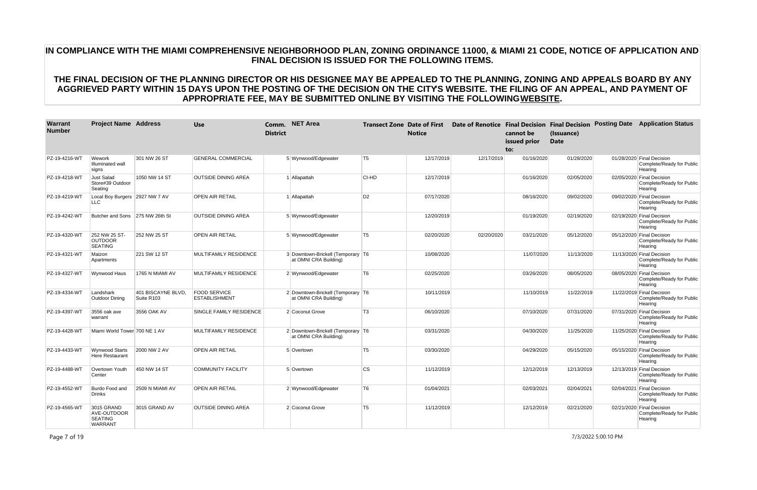| <b>Warrant</b><br><b>Number</b> | <b>Project Name Address</b>                                   |                                  | <b>Use</b>                                  | <b>District</b> | Comm. NET Area                                             |                | <b>Transect Zone Date of First</b><br><b>Notice</b> |            | cannot be<br>issued prior<br>to: | (Issuance)<br><b>Date</b> | Date of Renotice Final Decision Final Decision Posting Date Application Status |
|---------------------------------|---------------------------------------------------------------|----------------------------------|---------------------------------------------|-----------------|------------------------------------------------------------|----------------|-----------------------------------------------------|------------|----------------------------------|---------------------------|--------------------------------------------------------------------------------|
| PZ-19-4216-WT                   | Wework<br>Illuminated wall<br>signs                           | 301 NW 26 ST                     | <b>GENERAL COMMERCIAL</b>                   |                 | 5 Wynwood/Edgewater                                        | T5             | 12/17/2019                                          | 12/17/2019 | 01/16/2020                       | 01/28/2020                | 01/28/2020 Final Decision<br>Complete/Ready for Public<br>Hearing              |
| PZ-19-4218-WT                   | Just Salad<br>Store#39 Outdoor<br>Seating                     | 1050 NW 14 ST                    | <b>OUTSIDE DINING AREA</b>                  |                 | 1 Allapattah                                               | CI-HD          | 12/17/2019                                          |            | 01/16/2020                       | 02/05/2020                | 02/05/2020 Final Decision<br>Complete/Ready for Public<br>Hearing              |
| PZ-19-4219-WT                   | Local Boy Burgers 2927 NW 7 AV<br><b>LLC</b>                  |                                  | <b>OPEN AIR RETAIL</b>                      |                 | 1 Allapattah                                               | D <sub>2</sub> | 07/17/2020                                          |            | 08/16/2020                       | 09/02/2020                | 09/02/2020 Final Decision<br>Complete/Ready for Public<br>Hearing              |
| PZ-19-4242-WT                   | Butcher and Sons 275 NW 26th St                               |                                  | <b>OUTSIDE DINING AREA</b>                  |                 | 5 Wynwood/Edgewater                                        |                | 12/20/2019                                          |            | 01/19/2020                       | 02/19/2020                | 02/19/2020 Final Decision<br>Complete/Ready for Public<br>Hearing              |
| PZ-19-4320-WT                   | 252 NW 25 ST-<br><b>OUTDOOR</b><br><b>SEATING</b>             | 252 NW 25 ST                     | <b>OPEN AIR RETAIL</b>                      |                 | 5 Wynwood/Edgewater                                        | T5             | 02/20/2020                                          | 02/20/2020 | 03/21/2020                       | 05/12/2020                | 05/12/2020 Final Decision<br>Complete/Ready for Public<br>Hearing              |
| PZ-19-4321-WT                   | Maizon<br>Apartments                                          | 221 SW 12 ST                     | <b>MULTIFAMILY RESIDENCE</b>                |                 | 3 Downtown-Brickell (Temporary T6<br>at OMNI CRA Building) |                | 10/08/2020                                          |            | 11/07/2020                       | 11/13/2020                | 11/13/2020 Final Decision<br>Complete/Ready for Public<br>Hearing              |
| PZ-19-4327-WT                   | Wynwood Haus                                                  | 1765 N MIAMI AV                  | MULTIFAMILY RESIDENCE                       |                 | 2 Wynwood/Edgewater                                        | T6             | 02/25/2020                                          |            | 03/26/2020                       | 08/05/2020                | 08/05/2020 Final Decision<br>Complete/Ready for Public<br>Hearing              |
| PZ-19-4334-WT                   | Landshark<br>Outdoor Dining                                   | 401 BISCAYNE BLVD,<br>Suite R103 | <b>FOOD SERVICE</b><br><b>ESTABLISHMENT</b> |                 | 2 Downtown-Brickell (Temporary T6<br>at OMNI CRA Building) |                | 10/11/2019                                          |            | 11/10/2019                       | 11/22/2019                | 11/22/2019 Final Decision<br>Complete/Ready for Public<br>Hearing              |
| PZ-19-4397-WT                   | 3556 oak ave<br>warrant                                       | 3556 OAK AV                      | SINGLE FAMILY RESIDENCE                     |                 | 2 Coconut Grove                                            | T <sub>3</sub> | 06/10/2020                                          |            | 07/10/2020                       | 07/31/2020                | 07/31/2020 Final Decision<br>Complete/Ready for Public<br>Hearing              |
| PZ-19-4428-WT                   | Miami World Tower 700 NE 1 AV                                 |                                  | MULTIFAMILY RESIDENCE                       |                 | 2 Downtown-Brickell (Temporary T6<br>at OMNI CRA Building) |                | 03/31/2020                                          |            | 04/30/2020                       | 11/25/2020                | 11/25/2020 Final Decision<br>Complete/Ready for Public<br>Hearing              |
| PZ-19-4433-WT                   | <b>Wynwood Starts</b><br>Here Restaurant                      | 2000 NW 2 AV                     | <b>OPEN AIR RETAIL</b>                      |                 | 5 Overtown                                                 | T <sub>5</sub> | 03/30/2020                                          |            | 04/29/2020                       | 05/15/2020                | 05/15/2020 Final Decision<br>Complete/Ready for Public<br>Hearing              |
| PZ-19-4488-WT                   | Overtown Youth<br>Center                                      | 450 NW 14 ST                     | <b>COMMUNITY FACILITY</b>                   |                 | 5 Overtown                                                 | cs             | 11/12/2019                                          |            | 12/12/2019                       | 12/13/2019                | 12/13/2019 Final Decision<br>Complete/Ready for Public<br>Hearing              |
| PZ-19-4552-WT                   | Burdo Food and<br><b>Drinks</b>                               | <b>2509 N MIAMI AV</b>           | <b>OPEN AIR RETAIL</b>                      |                 | 2 Wynwood/Edgewater                                        | T6             | 01/04/2021                                          |            | 02/03/2021                       | 02/04/2021                | 02/04/2021 Final Decision<br>Complete/Ready for Public<br>Hearing              |
| PZ-19-4565-WT                   | 3015 GRAND<br>AVE-OUTDOOR<br><b>SEATING</b><br><b>WARRANT</b> | 3015 GRAND AV                    | <b>OUTSIDE DINING AREA</b>                  |                 | 2 Coconut Grove                                            | T <sub>5</sub> | 11/12/2019                                          |            | 12/12/2019                       | 02/21/2020                | 02/21/2020 Final Decision<br>Complete/Ready for Public<br>Hearing              |

Page 7 of 19 7/3/2022 5:00:10 PM

# **IN COMPLIANCE WITH THE MIAMI COMPREHENSIVE NEIGHBORHOOD PLAN, ZONING ORDINANCE 11000, & MIAMI 21 CODE, NOTICE OF APPLICATION AND FINAL DECISION IS ISSUED FOR THE FOLLOWING ITEMS.**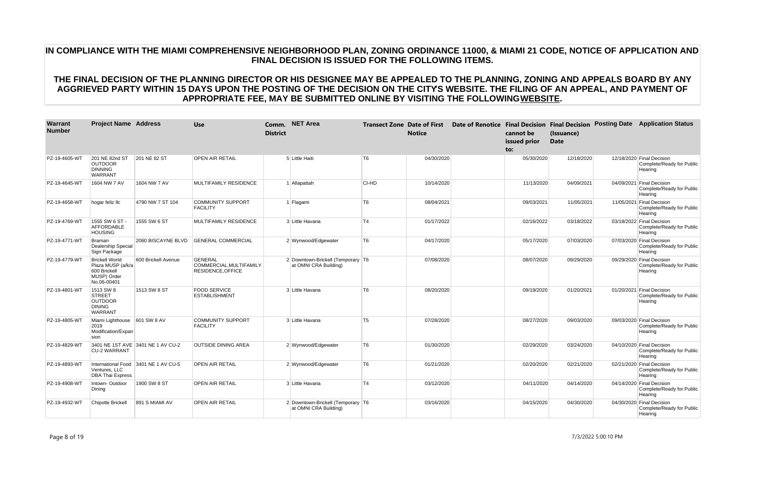| <b>Warrant</b><br><b>Number</b> | <b>Project Name Address</b>                                                              |                                      | <b>Use</b>                                                     | <b>District</b> | Comm. NET Area                                             |                | <b>Transect Zone Date of First</b><br><b>Notice</b> | cannot be<br>issued prior<br>$\mathbf{to}$ : | (Issuance)<br><b>Date</b> | Date of Renotice Final Decision Final Decision Posting Date Application Status |
|---------------------------------|------------------------------------------------------------------------------------------|--------------------------------------|----------------------------------------------------------------|-----------------|------------------------------------------------------------|----------------|-----------------------------------------------------|----------------------------------------------|---------------------------|--------------------------------------------------------------------------------|
| PZ-19-4605-WT                   | 201 NE 82nd ST<br><b>OUTDOOR</b><br><b>DINNING</b><br><b>WARRANT</b>                     | 201 NE 82 ST                         | <b>OPEN AIR RETAIL</b>                                         |                 | 5 Little Haiti                                             | T <sub>6</sub> | 04/30/2020                                          | 05/30/2020                                   | 12/18/2020                | 12/18/2020 Final Decision<br>Complete/Ready for Public<br>Hearing              |
| PZ-19-4645-WT                   | 1604 NW 7 AV                                                                             | 1604 NW 7 AV                         | MULTIFAMILY RESIDENCE                                          |                 | 1 Allapattah                                               | CI-HD          | 10/14/2020                                          | 11/13/2020                                   | 04/09/2021                | 04/09/2021 Final Decision<br>Complete/Ready for Public<br>Hearing              |
| PZ-19-4658-WT                   | hogar feliz llc                                                                          | 4790 NW 7 ST 104                     | <b>COMMUNITY SUPPORT</b><br>FACILITY                           |                 | 1 Flagami                                                  | T <sub>6</sub> | 08/04/2021                                          | 09/03/2021                                   | 11/05/2021                | 11/05/2021 Final Decision<br>Complete/Ready for Public<br>Hearing              |
| PZ-19-4769-WT                   | 1555 SW 6 ST -<br><b>AFFORDABLE</b><br><b>HOUSING</b>                                    | 1555 SW 6 ST                         | <b>MULTIFAMILY RESIDENCE</b>                                   |                 | 3 Little Havana                                            | T <sub>4</sub> | 01/17/2022                                          | 02/16/2022                                   | 03/18/2022                | 03/18/2022 Final Decision<br>Complete/Ready for Public<br>Hearing              |
| PZ-19-4771-WT                   | Braman<br>Dealership Special<br>Sign Package                                             | 2060 BISCAYNE BLVD                   | <b>GENERAL COMMERCIAL</b>                                      |                 | 2 Wynwood/Edgewater                                        | T <sub>6</sub> | 04/17/2020                                          | 05/17/2020                                   | 07/03/2020                | 07/03/2020 Final Decision<br>Complete/Ready for Public<br>Hearing              |
| PZ-19-4779-WT                   | <b>Brickell World</b><br>Plaza MUSP (a/k/a<br>600 Brickell<br>MUSP) Order<br>No.06-00401 | 600 Brickell Avenue                  | <b>GENERAL</b><br>COMMERCIAL, MULTIFAMILY<br>RESIDENCE, OFFICE |                 | 2 Downtown-Brickell (Temporary T6<br>at OMNI CRA Building) |                | 07/08/2020                                          | 08/07/2020                                   | 09/29/2020                | 09/29/2020 Final Decision<br>Complete/Ready for Public<br>Hearing              |
| PZ-19-4801-WT                   | 1513 SW 8<br><b>STREET</b><br><b>OUTDOOR</b><br><b>DINING</b><br><b>WARRANT</b>          | 1513 SW 8 ST                         | <b>FOOD SERVICE</b><br><b>ESTABLISHMENT</b>                    |                 | 3 Little Havana                                            | T <sub>6</sub> | 08/20/2020                                          | 09/19/2020                                   | 01/20/2021                | 01/20/2021 Final Decision<br>Complete/Ready for Public<br>Hearing              |
| PZ-19-4805-WT                   | Miami Lighthouse 601 SW 8 AV<br>2019<br>Modification/Expan<br>sion                       |                                      | <b>COMMUNITY SUPPORT</b><br><b>FACILITY</b>                    |                 | 3 Little Havana                                            | T <sub>5</sub> | 07/28/2020                                          | 08/27/2020                                   | 09/03/2020                | 09/03/2020 Final Decision<br>Complete/Ready for Public<br>Hearing              |
| PZ-19-4829-WT                   | <b>CU-2 WARRANT</b>                                                                      | 3401 NE 1ST AVE 3401 NE 1 AV CU-2    | <b>OUTSIDE DINING AREA</b>                                     |                 | 2 Wynwood/Edgewater                                        | T <sub>6</sub> | 01/30/2020                                          | 02/29/2020                                   | 03/24/2020                | 04/10/2020 Final Decision<br>Complete/Ready for Public<br>Hearing              |
| PZ-19-4893-WT                   | Ventures, LLC<br><b>DBA Thai Express</b>                                                 | International Food 3401 NE 1 AV CU-5 | <b>OPEN AIR RETAIL</b>                                         |                 | 2 Wynwood/Edgewater                                        | T <sub>6</sub> | 01/21/2020                                          | 02/20/2020                                   | 02/21/2020                | 02/21/2020 Final Decision<br>Complete/Ready for Public<br>Hearing              |
| PZ-19-4908-WT                   | Intown-Outdoor<br>Dining                                                                 | 1900 SW 8 ST                         | <b>OPEN AIR RETAIL</b>                                         |                 | 3 Little Havana                                            | T <sub>4</sub> | 03/12/2020                                          | 04/11/2020                                   | 04/14/2020                | 04/14/2020 Final Decision<br>Complete/Ready for Public<br>Hearing              |
| PZ-19-4932-WT                   | Chipotle Brickell                                                                        | 891 S MIAMI AV                       | <b>OPEN AIR RETAIL</b>                                         |                 | 2 Downtown-Brickell (Temporary T6<br>at OMNI CRA Building) |                | 03/16/2020                                          | 04/15/2020                                   | 04/30/2020                | 04/30/2020 Final Decision<br>Complete/Ready for Public<br>Hearing              |

Page 8 of 19 7/3/2022 5:00:10 PM

# **IN COMPLIANCE WITH THE MIAMI COMPREHENSIVE NEIGHBORHOOD PLAN, ZONING ORDINANCE 11000, & MIAMI 21 CODE, NOTICE OF APPLICATION AND FINAL DECISION IS ISSUED FOR THE FOLLOWING ITEMS.**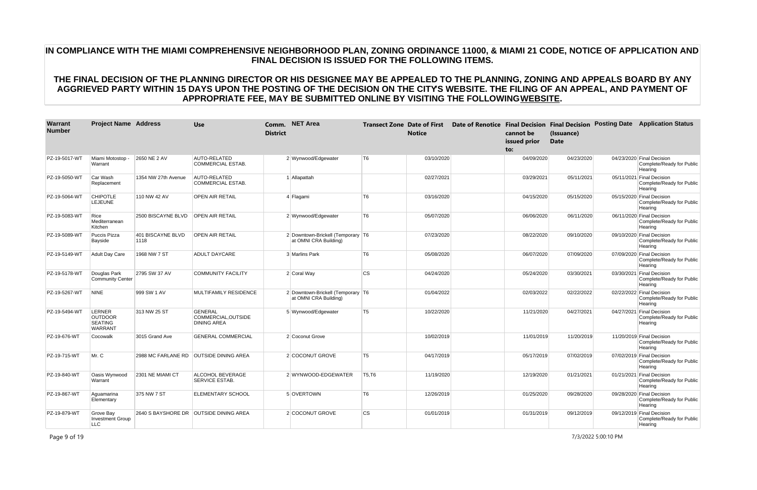| Warrant<br><b>Number</b> | <b>Project Name Address</b>                                  |                           | <b>Use</b>                                                  | <b>District</b> | Comm. NET Area                                             |                | <b>Transect Zone Date of First</b><br><b>Notice</b> | cannot be<br>issued prior<br>to: | (Issuance)<br><b>Date</b> | Date of Renotice Final Decision Final Decision Posting Date Application Status |
|--------------------------|--------------------------------------------------------------|---------------------------|-------------------------------------------------------------|-----------------|------------------------------------------------------------|----------------|-----------------------------------------------------|----------------------------------|---------------------------|--------------------------------------------------------------------------------|
| PZ-19-5017-WT            | Miami Motostop -<br>Warrant                                  | 2650 NE 2 AV              | AUTO-RELATED<br><b>COMMERCIAL ESTAB.</b>                    |                 | 2 Wynwood/Edgewater                                        | T <sub>6</sub> | 03/10/2020                                          | 04/09/2020                       | 04/23/2020                | 04/23/2020 Final Decision<br>Complete/Ready for Public<br>Hearing              |
| PZ-19-5050-WT            | Car Wash<br>Replacement                                      | 1354 NW 27th Avenue       | AUTO-RELATED<br><b>COMMERCIAL ESTAB.</b>                    |                 | 1 Allapattah                                               |                | 02/27/2021                                          | 03/29/2021                       | 05/11/2021                | 05/11/2021 Final Decision<br>Complete/Ready for Public<br>Hearing              |
| PZ-19-5064-WT            | <b>CHIPOTLE</b><br>LEJEUNE                                   | 110 NW 42 AV              | <b>OPEN AIR RETAIL</b>                                      |                 | 4 Flagami                                                  | T6             | 03/16/2020                                          | 04/15/2020                       | 05/15/2020                | 05/15/2020 Final Decision<br>Complete/Ready for Public<br>Hearing              |
| PZ-19-5083-WT            | Rice<br>Mediterranean<br>Kitchen                             | 2500 BISCAYNE BLVD        | <b>OPEN AIR RETAIL</b>                                      |                 | 2 Wynwood/Edgewater                                        | T6             | 05/07/2020                                          | 06/06/2020                       | 06/11/2020                | 06/11/2020 Final Decision<br>Complete/Ready for Public<br>Hearing              |
| PZ-19-5089-WT            | <b>Puccis Pizza</b><br>Bayside                               | 401 BISCAYNE BLVD<br>1118 | <b>OPEN AIR RETAIL</b>                                      |                 | 2 Downtown-Brickell (Temporary T6<br>at OMNI CRA Building) |                | 07/23/2020                                          | 08/22/2020                       | 09/10/2020                | 09/10/2020 Final Decision<br>Complete/Ready for Public<br>Hearing              |
| PZ-19-5149-WT            | <b>Adult Day Care</b>                                        | 1968 NW 7 ST              | <b>ADULT DAYCARE</b>                                        |                 | 3 Marlins Park                                             | T <sub>6</sub> | 05/08/2020                                          | 06/07/2020                       | 07/09/2020                | 07/09/2020 Final Decision<br>Complete/Ready for Public<br>Hearing              |
| PZ-19-5178-WT            | Douglas Park<br>Community Center                             | 2795 SW 37 AV             | <b>COMMUNITY FACILITY</b>                                   |                 | 2 Coral Way                                                | cs             | 04/24/2020                                          | 05/24/2020                       | 03/30/2021                | 03/30/2021 Final Decision<br>Complete/Ready for Public<br>Hearing              |
| PZ-19-5267-WT            | <b>NINE</b>                                                  | 999 SW 1 AV               | MULTIFAMILY RESIDENCE                                       |                 | 2 Downtown-Brickell (Temporary T6<br>at OMNI CRA Building) |                | 01/04/2022                                          | 02/03/2022                       | 02/22/2022                | 02/22/2022 Final Decision<br>Complete/Ready for Public<br>Hearing              |
| PZ-19-5494-WT            | LERNER<br><b>OUTDOOR</b><br><b>SEATING</b><br><b>WARRANT</b> | 313 NW 25 ST              | <b>GENERAL</b><br>COMMERCIAL, OUTSIDE<br><b>DINING AREA</b> |                 | 5 Wynwood/Edgewater                                        | T <sub>5</sub> | 10/22/2020                                          | 11/21/2020                       | 04/27/2021                | 04/27/2021 Final Decision<br>Complete/Ready for Public<br>Hearing              |
| PZ-19-676-WT             | Cocowalk                                                     | 3015 Grand Ave            | <b>GENERAL COMMERCIAL</b>                                   |                 | 2 Coconut Grove                                            |                | 10/02/2019                                          | 11/01/2019                       | 11/20/2019                | 11/20/2019 Final Decision<br>Complete/Ready for Public<br>Hearing              |
| PZ-19-715-WT             | Mr. C                                                        |                           | 2988 MC FARLANE RD OUTSIDE DINING AREA                      |                 | 2 COCONUT GROVE                                            | T <sub>5</sub> | 04/17/2019                                          | 05/17/2019                       | 07/02/2019                | 07/02/2019 Final Decision<br>Complete/Ready for Public<br>Hearing              |
| PZ-19-840-WT             | Oasis Wynwood<br>Warrant                                     | 2301 NE MIAMI CT          | ALCOHOL BEVERAGE<br>SERVICE ESTAB.                          |                 | 2 WYNWOOD-EDGEWATER                                        | T5, T6         | 11/19/2020                                          | 12/19/2020                       | 01/21/2021                | 01/21/2021 Final Decision<br>Complete/Ready for Public<br>Hearing              |
| PZ-19-867-WT             | Aguamarina<br>Elementary                                     | 375 NW 7 ST               | <b>ELEMENTARY SCHOOL</b>                                    |                 | 5 OVERTOWN                                                 | T6             | 12/26/2019                                          | 01/25/2020                       | 09/28/2020                | 09/28/2020 Final Decision<br>Complete/Ready for Public<br>Hearing              |
| PZ-19-879-WT             | Grove Bay<br><b>Investment Group</b><br>LLC                  |                           | 2640 S BAYSHORE DR   OUTSIDE DINING AREA                    |                 | 2 COCONUT GROVE                                            | cs             | 01/01/2019                                          | 01/31/2019                       | 09/12/2019                | 09/12/2019 Final Decision<br>Complete/Ready for Public<br>Hearing              |

Page 9 of 19 7/3/2022 5:00:10 PM

# **IN COMPLIANCE WITH THE MIAMI COMPREHENSIVE NEIGHBORHOOD PLAN, ZONING ORDINANCE 11000, & MIAMI 21 CODE, NOTICE OF APPLICATION AND FINAL DECISION IS ISSUED FOR THE FOLLOWING ITEMS.**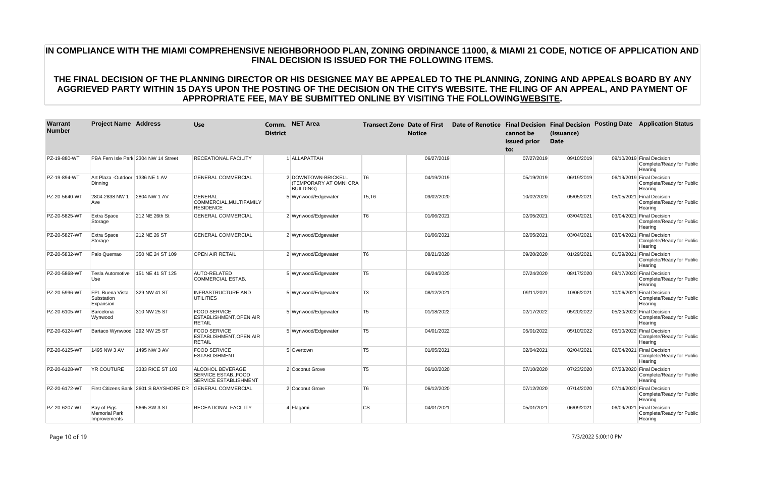| Warrant<br><b>Number</b> | <b>Project Name Address</b>                         |                                      | <b>Use</b>                                                             | <b>District</b> | Comm. NET Area                                                    |                | <b>Transect Zone Date of First</b><br><b>Notice</b> | Date of Renotice Final Decision Final Decision Posting Date | cannot be<br>issued prior<br>to: | (Issuance)<br><b>Date</b> | <b>Application Status</b>                                         |
|--------------------------|-----------------------------------------------------|--------------------------------------|------------------------------------------------------------------------|-----------------|-------------------------------------------------------------------|----------------|-----------------------------------------------------|-------------------------------------------------------------|----------------------------------|---------------------------|-------------------------------------------------------------------|
| PZ-19-880-WT             |                                                     | PBA Fern Isle Park 2304 NW 14 Street | <b>RECEATIONAL FACILITY</b>                                            |                 | 1 ALLAPATTAH                                                      |                | 06/27/2019                                          |                                                             | 07/27/2019                       | 09/10/2019                | 09/10/2019 Final Decision<br>Complete/Ready for Public<br>Hearing |
| PZ-19-894-WT             | Art Plaza - Outdoor 1336 NE 1 AV<br>Dinning         |                                      | <b>GENERAL COMMERCIAL</b>                                              |                 | 2 DOWNTOWN-BRICKELL<br>(TEMPORARY AT OMNI CRA<br><b>BUILDING)</b> | T6             | 04/19/2019                                          |                                                             | 05/19/2019                       | 06/19/2019                | 06/19/2019 Final Decision<br>Complete/Ready for Public<br>Hearing |
| PZ-20-5640-WT            | 2804-2838 NW 1<br>Ave                               | 2804 NW 1 AV                         | <b>GENERAL</b><br>COMMERCIAL, MULTIFAMILY<br><b>RESIDENCE</b>          |                 | 5 Wynwood/Edgewater                                               | T5, T6         | 09/02/2020                                          |                                                             | 10/02/2020                       | 05/05/2021                | 05/05/2021 Final Decision<br>Complete/Ready for Public<br>Hearing |
| PZ-20-5825-WT            | Extra Space<br>Storage                              | 212 NE 26th St                       | <b>GENERAL COMMERCIAL</b>                                              |                 | 2 Wynwood/Edgewater                                               | T6             | 01/06/2021                                          |                                                             | 02/05/2021                       | 03/04/2021                | 03/04/2021 Final Decision<br>Complete/Ready for Public<br>Hearing |
| PZ-20-5827-WT            | <b>Extra Space</b><br>Storage                       | 212 NE 26 ST                         | <b>GENERAL COMMERCIAL</b>                                              |                 | 2 Wynwood/Edgewater                                               |                | 01/06/2021                                          |                                                             | 02/05/2021                       | 03/04/2021                | 03/04/2021 Final Decision<br>Complete/Ready for Public<br>Hearing |
| PZ-20-5832-WT            | Palo Quemao                                         | 350 NE 24 ST 109                     | <b>OPEN AIR RETAIL</b>                                                 |                 | 2 Wynwood/Edgewater                                               | T6             | 08/21/2020                                          |                                                             | 09/20/2020                       | 01/29/2021                | 01/29/2021 Final Decision<br>Complete/Ready for Public<br>Hearing |
| PZ-20-5868-WT            | Tesla Automotive<br>Use                             | 151 NE 41 ST 125                     | AUTO-RELATED<br><b>COMMERCIAL ESTAB.</b>                               |                 | 5 Wynwood/Edgewater                                               | T5             | 06/24/2020                                          |                                                             | 07/24/2020                       | 08/17/2020                | 08/17/2020 Final Decision<br>Complete/Ready for Public<br>Hearing |
| PZ-20-5996-WT            | FPL Buena Vista<br>Substation<br>Expansion          | 329 NW 41 ST                         | <b>INFRASTRUCTURE AND</b><br><b>UTILITIES</b>                          |                 | 5 Wynwood/Edgewater                                               | T3             | 08/12/2021                                          |                                                             | 09/11/2021                       | 10/06/2021                | 10/06/2021 Final Decision<br>Complete/Ready for Public<br>Hearing |
| PZ-20-6105-WT            | Barcelona<br>Wynwood                                | 310 NW 25 ST                         | <b>FOOD SERVICE</b><br><b>ESTABLISHMENT, OPEN AIR</b><br><b>RETAIL</b> |                 | 5 Wynwood/Edgewater                                               | T5             | 01/18/2022                                          |                                                             | 02/17/2022                       | 05/20/2022                | 05/20/2022 Final Decision<br>Complete/Ready for Public<br>Hearing |
| PZ-20-6124-WT            | Bartaco Wynwood 292 NW 25 ST                        |                                      | <b>FOOD SERVICE</b><br>ESTABLISHMENT.OPEN AIR<br><b>RETAIL</b>         |                 | 5 Wynwood/Edgewater                                               | T5             | 04/01/2022                                          |                                                             | 05/01/2022                       | 05/10/2022                | 05/10/2022 Final Decision<br>Complete/Ready for Public<br>Hearing |
| PZ-20-6125-WT            | 1495 NW 3 AV                                        | 1495 NW 3 AV                         | <b>FOOD SERVICE</b><br><b>ESTABLISHMENT</b>                            |                 | 5 Overtown                                                        | T <sub>5</sub> | 01/05/2021                                          |                                                             | 02/04/2021                       | 02/04/2021                | 02/04/2021 Final Decision<br>Complete/Ready for Public<br>Hearing |
| PZ-20-6128-WT            | YR COUTURE                                          | 3333 RICE ST 103                     | ALCOHOL BEVERAGE<br>SERVICE ESTAB., FOOD<br>SERVICE ESTABLISHMENT      |                 | 2 Coconut Grove                                                   | T <sub>5</sub> | 06/10/2020                                          |                                                             | 07/10/2020                       | 07/23/2020                | 07/23/2020 Final Decision<br>Complete/Ready for Public<br>Hearing |
| PZ-20-6172-WT            |                                                     |                                      | First Citizens Bank 2601 S BAYSHORE DR GENERAL COMMERCIAL              |                 | 2 Coconut Grove                                                   | T6             | 06/12/2020                                          |                                                             | 07/12/2020                       | 07/14/2020                | 07/14/2020 Final Decision<br>Complete/Ready for Public<br>Hearing |
| PZ-20-6207-WT            | Bay of Pigs<br><b>Memorial Park</b><br>Improvements | 5665 SW 3 ST                         | <b>RECEATIONAL FACILITY</b>                                            |                 | 4 Flagami                                                         | <b>CS</b>      | 04/01/2021                                          |                                                             | 05/01/2021                       | 06/09/2021                | 06/09/2021 Final Decision<br>Complete/Ready for Public<br>Hearing |

Page 10 of 19 7/3/2022 5:00:10 PM

# **IN COMPLIANCE WITH THE MIAMI COMPREHENSIVE NEIGHBORHOOD PLAN, ZONING ORDINANCE 11000, & MIAMI 21 CODE, NOTICE OF APPLICATION AND FINAL DECISION IS ISSUED FOR THE FOLLOWING ITEMS.**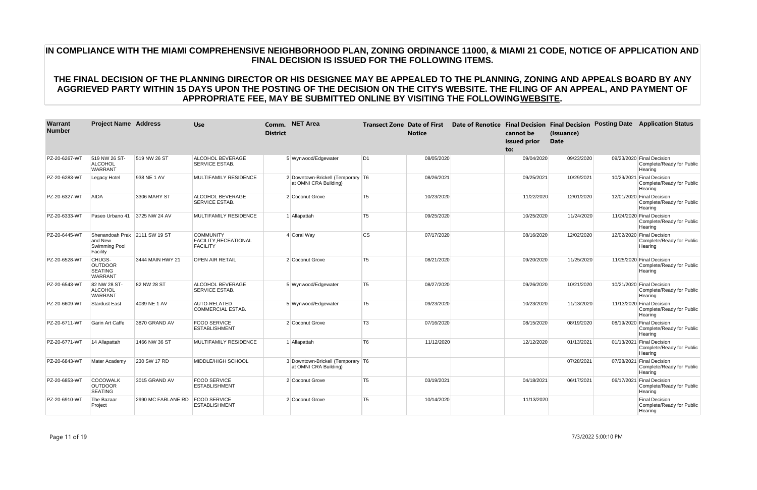| <b>Warrant</b><br><b>Number</b> | <b>Project Name Address</b>                                           |                    | <b>Use</b>                                                   | <b>District</b> | Comm. NET Area                                             |                | <b>Transect Zone Date of First</b><br><b>Notice</b> | cannot be<br>issued prior<br>to: | (Issuance)<br><b>Date</b> | Date of Renotice Final Decision Final Decision Posting Date Application Status |
|---------------------------------|-----------------------------------------------------------------------|--------------------|--------------------------------------------------------------|-----------------|------------------------------------------------------------|----------------|-----------------------------------------------------|----------------------------------|---------------------------|--------------------------------------------------------------------------------|
| PZ-20-6267-WT                   | 519 NW 26 ST-<br>ALCOHOL<br><b>WARRANT</b>                            | 519 NW 26 ST       | <b>ALCOHOL BEVERAGE</b><br>SERVICE ESTAB.                    |                 | 5 Wynwood/Edgewater                                        | D1             | 08/05/2020                                          | 09/04/2020                       | 09/23/2020                | 09/23/2020 Final Decision<br>Complete/Ready for Public<br>Hearing              |
| PZ-20-6283-WT                   | Legacy Hotel                                                          | 938 NE 1 AV        | MULTIFAMILY RESIDENCE                                        |                 | 2 Downtown-Brickell (Temporary T6<br>at OMNI CRA Building) |                | 08/26/2021                                          | 09/25/2021                       | 10/29/2021                | 10/29/2021 Final Decision<br>Complete/Ready for Public<br>Hearing              |
| PZ-20-6327-WT                   | <b>AIDA</b>                                                           | 3306 MARY ST       | ALCOHOL BEVERAGE<br>SERVICE ESTAB.                           |                 | 2 Coconut Grove                                            | T <sub>5</sub> | 10/23/2020                                          | 11/22/2020                       | 12/01/2020                | 12/01/2020 Final Decision<br>Complete/Ready for Public<br>Hearing              |
| PZ-20-6333-WT                   | Paseo Urbano 41                                                       | 3725 NW 24 AV      | MULTIFAMILY RESIDENCE                                        |                 | 1 Allapattah                                               | T5             | 09/25/2020                                          | 10/25/2020                       | 11/24/2020                | 11/24/2020 Final Decision<br>Complete/Ready for Public<br>Hearing              |
| PZ-20-6445-WT                   | Shenandoah Prak 2111 SW 19 ST<br>and New<br>Swimming Pool<br>Facility |                    | <b>COMMUNITY</b><br>FACILITY, RECEATIONAL<br><b>FACILITY</b> |                 | 4 Coral Way                                                | cs             | 07/17/2020                                          | 08/16/2020                       | 12/02/2020                | 12/02/2020 Final Decision<br>Complete/Ready for Public<br>Hearing              |
| PZ-20-6528-WT                   | CHUGS-<br><b>OUTDOOR</b><br><b>SEATING</b><br><b>WARRANT</b>          | 3444 MAIN HWY 21   | <b>OPEN AIR RETAIL</b>                                       |                 | 2 Coconut Grove                                            | T <sub>5</sub> | 08/21/2020                                          | 09/20/2020                       | 11/25/2020                | 11/25/2020 Final Decision<br>Complete/Ready for Public<br>Hearing              |
| PZ-20-6543-WT                   | 82 NW 28 ST-<br>ALCOHOL<br><b>WARRANT</b>                             | 82 NW 28 ST        | ALCOHOL BEVERAGE<br>SERVICE ESTAB.                           |                 | 5 Wynwood/Edgewater                                        | T5             | 08/27/2020                                          | 09/26/2020                       | 10/21/2020                | 10/21/2020 Final Decision<br>Complete/Ready for Public<br>Hearing              |
| PZ-20-6609-WT                   | <b>Stardust East</b>                                                  | 4039 NE 1 AV       | AUTO-RELATED<br><b>COMMERCIAL ESTAB.</b>                     |                 | 5 Wynwood/Edgewater                                        | T5             | 09/23/2020                                          | 10/23/2020                       | 11/13/2020                | 11/13/2020 Final Decision<br>Complete/Ready for Public<br>Hearing              |
| PZ-20-6711-WT                   | Garin Art Caffe                                                       | 3870 GRAND AV      | <b>FOOD SERVICE</b><br><b>ESTABLISHMENT</b>                  |                 | 2 Coconut Grove                                            | T <sub>3</sub> | 07/16/2020                                          | 08/15/2020                       | 08/19/2020                | 08/19/2020 Final Decision<br>Complete/Ready for Public<br>Hearing              |
| PZ-20-6771-WT                   | 14 Allapattah                                                         | 1466 NW 36 ST      | MULTIFAMILY RESIDENCE                                        |                 | 1 Allapattah                                               | T6             | 11/12/2020                                          | 12/12/2020                       | 01/13/2021                | 01/13/2021 Final Decision<br>Complete/Ready for Public<br>Hearing              |
| PZ-20-6843-WT                   | Mater Academy                                                         | 230 SW 17 RD       | MIDDLE/HIGH SCHOOL                                           |                 | 3 Downtown-Brickell (Temporary T6<br>at OMNI CRA Building) |                |                                                     |                                  | 07/28/2021                | 07/28/2021 Final Decision<br>Complete/Ready for Public<br>Hearing              |
| PZ-20-6853-WT                   | <b>COCOWALK</b><br><b>OUTDOOR</b><br><b>SEATING</b>                   | 3015 GRAND AV      | <b>FOOD SERVICE</b><br><b>ESTABLISHMENT</b>                  |                 | 2 Coconut Grove                                            | T <sub>5</sub> | 03/19/2021                                          | 04/18/2021                       | 06/17/2021                | 06/17/2021 Final Decision<br>Complete/Ready for Public<br>Hearing              |
| PZ-20-6910-WT                   | The Bazaar<br>Project                                                 | 2990 MC FARLANE RD | <b>FOOD SERVICE</b><br><b>ESTABLISHMENT</b>                  |                 | 2 Coconut Grove                                            | T <sub>5</sub> | 10/14/2020                                          | 11/13/2020                       |                           | Final Decision<br>Complete/Ready for Public<br>Hearing                         |

Page 11 of 19 7/3/2022 5:00:10 PM

# **IN COMPLIANCE WITH THE MIAMI COMPREHENSIVE NEIGHBORHOOD PLAN, ZONING ORDINANCE 11000, & MIAMI 21 CODE, NOTICE OF APPLICATION AND FINAL DECISION IS ISSUED FOR THE FOLLOWING ITEMS.**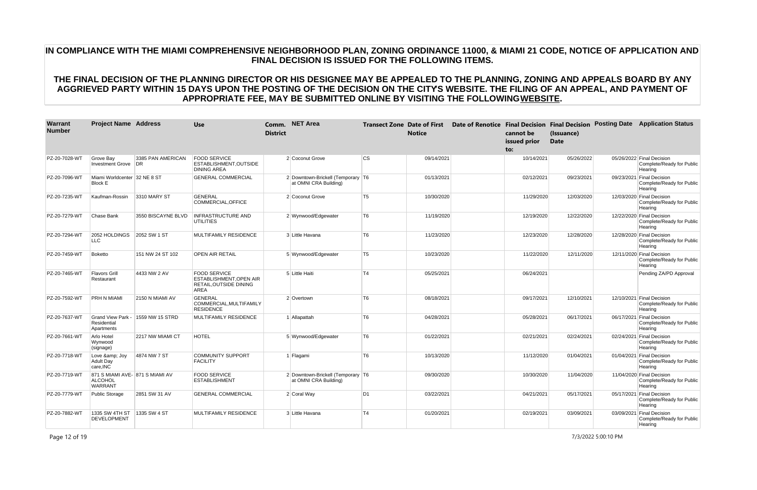| <b>Warrant</b><br><b>Number</b> | <b>Project Name Address</b>                                  |                          | <b>Use</b>                                                                                     | <b>District</b> | Comm. NET Area                                             |                | <b>Transect Zone Date of First</b><br><b>Notice</b> | cannot be<br>issued prior<br>$\mathbf{to}$ : | (Issuance)<br><b>Date</b> | Date of Renotice Final Decision Final Decision Posting Date Application Status |
|---------------------------------|--------------------------------------------------------------|--------------------------|------------------------------------------------------------------------------------------------|-----------------|------------------------------------------------------------|----------------|-----------------------------------------------------|----------------------------------------------|---------------------------|--------------------------------------------------------------------------------|
| PZ-20-7028-WT                   | Grove Bay<br><b>Investment Grove</b>                         | 3385 PAN AMERICAN<br>DR. | <b>FOOD SERVICE</b><br>ESTABLISHMENT, OUTSIDE<br><b>DINING AREA</b>                            |                 | 2 Coconut Grove                                            | <b>CS</b>      | 09/14/2021                                          | 10/14/2021                                   | 05/26/2022                | 05/26/2022 Final Decision<br>Complete/Ready for Public<br>Hearing              |
| PZ-20-7096-WT                   | Miami Worldcenter 32 NE 8 ST<br><b>Block E</b>               |                          | <b>GENERAL COMMERCIAL</b>                                                                      |                 | 2 Downtown-Brickell (Temporary T6<br>at OMNI CRA Building) |                | 01/13/2021                                          | 02/12/2021                                   | 09/23/2021                | 09/23/2021 Final Decision<br>Complete/Ready for Public<br>Hearing              |
| PZ-20-7235-WT                   | Kaufman-Rossin                                               | 3310 MARY ST             | <b>GENERAL</b><br>COMMERCIAL, OFFICE                                                           |                 | 2 Coconut Grove                                            | T <sub>5</sub> | 10/30/2020                                          | 11/29/2020                                   | 12/03/2020                | 12/03/2020 Final Decision<br>Complete/Ready for Public<br>Hearing              |
| PZ-20-7279-WT                   | Chase Bank                                                   | 3550 BISCAYNE BLVD       | <b>INFRASTRUCTURE AND</b><br><b>UTILITIES</b>                                                  |                 | 2 Wynwood/Edgewater                                        | T <sub>6</sub> | 11/19/2020                                          | 12/19/2020                                   | 12/22/2020                | 12/22/2020 Final Decision<br>Complete/Ready for Public<br>Hearing              |
| PZ-20-7294-WT                   | 2052 HOLDINGS<br><b>LLC</b>                                  | 2052 SW 1 ST             | MULTIFAMILY RESIDENCE                                                                          |                 | 3 Little Havana                                            | T <sub>6</sub> | 11/23/2020                                          | 12/23/2020                                   | 12/28/2020                | 12/28/2020 Final Decision<br>Complete/Ready for Public<br>Hearing              |
| PZ-20-7459-WT                   | <b>Boketto</b>                                               | 151 NW 24 ST 102         | <b>OPEN AIR RETAIL</b>                                                                         |                 | 5 Wynwood/Edgewater                                        | T <sub>5</sub> | 10/23/2020                                          | 11/22/2020                                   | 12/11/2020                | 12/11/2020 Final Decision<br>Complete/Ready for Public<br>Hearing              |
| PZ-20-7465-WT                   | <b>Flavors Grill</b><br>Restaurant                           | 4433 NW 2 AV             | <b>FOOD SERVICE</b><br>ESTABLISHMENT, OPEN AIR<br><b>RETAIL, OUTSIDE DINING</b><br><b>AREA</b> |                 | 5 Little Haiti                                             | T <sub>4</sub> | 05/25/2021                                          | 06/24/2021                                   |                           | Pending ZA/PD Approval                                                         |
| PZ-20-7592-WT                   | <b>PRH N MIAMI</b>                                           | 2150 N MIAMI AV          | <b>GENERAL</b><br>COMMERCIAL, MULTIFAMILY<br><b>RESIDENCE</b>                                  |                 | 2 Overtown                                                 | T <sub>6</sub> | 08/18/2021                                          | 09/17/2021                                   | 12/10/2021                | 12/10/2021 Final Decision<br>Complete/Ready for Public<br>Hearing              |
| PZ-20-7637-WT                   | <b>Grand View Park -</b><br>Residential<br>Apartments        | 1559 NW 15 STRD          | <b>MULTIFAMILY RESIDENCE</b>                                                                   |                 | 1 Allapattah                                               | T <sub>6</sub> | 04/28/2021                                          | 05/28/2021                                   | 06/17/2021                | 06/17/2021 Final Decision<br>Complete/Ready for Public<br>Hearing              |
| PZ-20-7661-WT                   | Arlo Hotel<br>Wynwood<br>(signage)                           | 2217 NW MIAMI CT         | <b>HOTEL</b>                                                                                   |                 | 5 Wynwood/Edgewater                                        | T <sub>6</sub> | 01/22/2021                                          | 02/21/2021                                   | 02/24/2021                | 02/24/2021 Final Decision<br>Complete/Ready for Public<br>Hearing              |
| PZ-20-7718-WT                   | Love & Joy<br><b>Adult Day</b><br>care, INC                  | 4874 NW 7 ST             | <b>COMMUNITY SUPPORT</b><br><b>FACILITY</b>                                                    |                 | 1 Flagami                                                  | T <sub>6</sub> | 10/13/2020                                          | 11/12/2020                                   | 01/04/2021                | 01/04/2021 Final Decision<br>Complete/Ready for Public<br>Hearing              |
| PZ-20-7719-WT                   | 871 S MIAMI AVE- 871 S MIAMI AV<br>ALCOHOL<br><b>WARRANT</b> |                          | <b>FOOD SERVICE</b><br><b>ESTABLISHMENT</b>                                                    |                 | 2 Downtown-Brickell (Temporary T6<br>at OMNI CRA Building) |                | 09/30/2020                                          | 10/30/2020                                   | 11/04/2020                | 11/04/2020 Final Decision<br>Complete/Ready for Public<br>Hearing              |
| PZ-20-7779-WT                   | <b>Public Storage</b>                                        | 2851 SW 31 AV            | <b>GENERAL COMMERCIAL</b>                                                                      |                 | 2 Coral Way                                                | D <sub>1</sub> | 03/22/2021                                          | 04/21/2021                                   | 05/17/2021                | 05/17/2021 Final Decision<br>Complete/Ready for Public<br>Hearing              |
| PZ-20-7882-WT                   | 1335 SW 4TH ST<br><b>DEVELOPMENT</b>                         | 1335 SW 4 ST             | <b>MULTIFAMILY RESIDENCE</b>                                                                   |                 | 3 Little Havana                                            | T <sub>4</sub> | 01/20/2021                                          | 02/19/2021                                   | 03/09/2021                | 03/09/2021 Final Decision<br>Complete/Ready for Public<br>Hearing              |

Page 12 of 19 7/3/2022 5:00:10 PM

# **IN COMPLIANCE WITH THE MIAMI COMPREHENSIVE NEIGHBORHOOD PLAN, ZONING ORDINANCE 11000, & MIAMI 21 CODE, NOTICE OF APPLICATION AND FINAL DECISION IS ISSUED FOR THE FOLLOWING ITEMS.**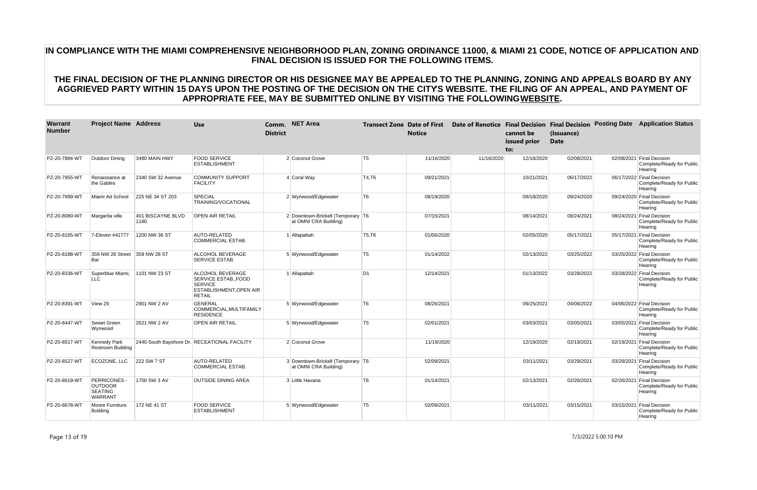| <b>Warrant</b><br><b>Number</b> | <b>Project Name Address</b>                                               |                           | <b>Use</b>                                                                                             | <b>District</b> | Comm. NET Area                                             |                | <b>Transect Zone Date of First</b><br><b>Notice</b> | Date of Renotice Final Decision Final Decision Posting Date | cannot be<br>issued prior<br>to: | (Issuance)<br><b>Date</b> | <b>Application Status</b>                                         |
|---------------------------------|---------------------------------------------------------------------------|---------------------------|--------------------------------------------------------------------------------------------------------|-----------------|------------------------------------------------------------|----------------|-----------------------------------------------------|-------------------------------------------------------------|----------------------------------|---------------------------|-------------------------------------------------------------------|
| PZ-20-7884-WT                   | Outdoor Dining                                                            | 3480 MAIN HWY             | <b>FOOD SERVICE</b><br><b>ESTABLISHMENT</b>                                                            |                 | 2 Coconut Grove                                            | T <sub>5</sub> | 11/16/2020                                          | 11/16/2020                                                  | 12/16/2020                       | 02/08/2021                | 02/08/2021 Final Decision<br>Complete/Ready for Public<br>Hearing |
| PZ-20-7955-WT                   | Renaissance at<br>the Gables                                              | 2340 SW 32 Avenue         | <b>COMMUNITY SUPPORT</b><br><b>FACILITY</b>                                                            |                 | 4 Coral Way                                                | T4,T6          | 09/21/2021                                          |                                                             | 10/21/2021                       | 06/17/2022                | 06/17/2022 Final Decision<br>Complete/Ready for Public<br>Hearing |
| PZ-20-7999-WT                   | Miami Ad School                                                           | 225 NE 34 ST 203          | <b>SPECIAL</b><br>TRAINING/VOCATIONAL                                                                  |                 | 2 Wynwood/Edgewater                                        | T6             | 08/19/2020                                          |                                                             | 09/18/2020                       | 09/24/2020                | 09/24/2020 Final Decision<br>Complete/Ready for Public<br>Hearing |
| PZ-20-8080-WT                   | Margarita ville                                                           | 401 BISCAYNE BLVD<br>1180 | <b>OPEN AIR RETAIL</b>                                                                                 |                 | 2 Downtown-Brickell (Temporary T6<br>at OMNI CRA Building) |                | 07/15/2021                                          |                                                             | 08/14/2021                       | 08/24/2021                | 08/24/2021 Final Decision<br>Complete/Ready for Public<br>Hearing |
| PZ-20-8165-WT                   | 7-Eleven #41777                                                           | 1200 NW 36 ST             | AUTO-RELATED<br><b>COMMERCIAL ESTAB.</b>                                                               |                 | 1 Allapattah                                               | T5, T6         | 01/06/2020                                          |                                                             | 02/05/2020                       | 05/17/2021                | 05/17/2021 Final Decision<br>Complete/Ready for Public<br>Hearing |
| PZ-20-8188-WT                   | 359 NW 28 Street<br>Bar                                                   | 359 NW 28 ST              | ALCOHOL BEVERAGE<br>SERVICE ESTAB.                                                                     |                 | 5 Wynwood/Edgewater                                        | T5             | 01/14/2022                                          |                                                             | 02/13/2022                       | 03/25/2022                | 03/25/2022 Final Decision<br>Complete/Ready for Public<br>Hearing |
| PZ-20-8336-WT                   | Superblue Miami,<br><b>LLC</b>                                            | 1101 NW 23 ST             | ALCOHOL BEVERAGE<br>SERVICE ESTAB., FOOD<br><b>SERVICE</b><br>ESTABLISHMENT, OPEN AIR<br><b>RETAIL</b> |                 | 1 Allapattah                                               | D1             | 12/14/2021                                          |                                                             | 01/13/2022                       | 03/28/2022                | 03/28/2022 Final Decision<br>Complete/Ready for Public<br>Hearing |
| PZ-20-8391-WT                   | View 29                                                                   | 2901 NW 2 AV              | <b>GENERAL</b><br>COMMERCIAL, MULTIFAMILY<br><b>RESIDENCE</b>                                          |                 | 5 Wynwood/Edgewater                                        | T6             | 08/26/2021                                          |                                                             | 09/25/2021                       | 04/06/2022                | 04/06/2022 Final Decision<br>Complete/Ready for Public<br>Hearing |
| PZ-20-8447-WT                   | Sweet Green<br>Wynwood                                                    | 2621 NW 2 AV              | <b>OPEN AIR RETAIL</b>                                                                                 |                 | 5 Wynwood/Edgewater                                        | T5             | 02/01/2021                                          |                                                             | 03/03/2021                       | 03/05/2021                | 03/05/2021 Final Decision<br>Complete/Ready for Public<br>Hearing |
| PZ-20-8517-WT                   | Kennedy Park<br><b>Restroom Building</b>                                  |                           | 2440 South Bayshore Dr. RECEATIONAL FACILITY                                                           |                 | 2 Coconut Grove                                            |                | 11/19/2020                                          |                                                             | 12/19/2020                       | 02/19/2021                | 02/19/2021 Final Decision<br>Complete/Ready for Public<br>Hearing |
| PZ-20-8527-WT                   | ECOZONE, LLC                                                              | 222 SW 7 ST               | AUTO-RELATED<br><b>COMMERCIAL ESTAB.</b>                                                               |                 | 3 Downtown-Brickell (Temporary T6<br>at OMNI CRA Building) |                | 02/09/2021                                          |                                                             | 03/11/2021                       | 03/29/2021                | 03/29/2021 Final Decision<br>Complete/Ready for Public<br>Hearing |
| PZ-20-8619-WT                   | <b>PERRICONES -</b><br><b>OUTDOOR</b><br><b>SEATING</b><br><b>WARRANT</b> | 1700 SW 3 AV              | <b>OUTSIDE DINING AREA</b>                                                                             |                 | 3 Little Havana                                            | T <sub>6</sub> | 01/14/2021                                          |                                                             | 02/13/2021                       | 02/26/2021                | 02/26/2021 Final Decision<br>Complete/Ready for Public<br>Hearing |
| PZ-20-8678-WT                   | Moore Furniture<br><b>Building</b>                                        | 172 NE 41 ST              | <b>FOOD SERVICE</b><br><b>ESTABLISHMENT</b>                                                            |                 | 5 Wynwood/Edgewater                                        | T5             | 02/09/2021                                          |                                                             | 03/11/2021                       | 03/15/2021                | 03/15/2021 Final Decision<br>Complete/Ready for Public<br>Hearing |

Page 13 of 19 7/3/2022 5:00:10 PM

# **IN COMPLIANCE WITH THE MIAMI COMPREHENSIVE NEIGHBORHOOD PLAN, ZONING ORDINANCE 11000, & MIAMI 21 CODE, NOTICE OF APPLICATION AND FINAL DECISION IS ISSUED FOR THE FOLLOWING ITEMS.**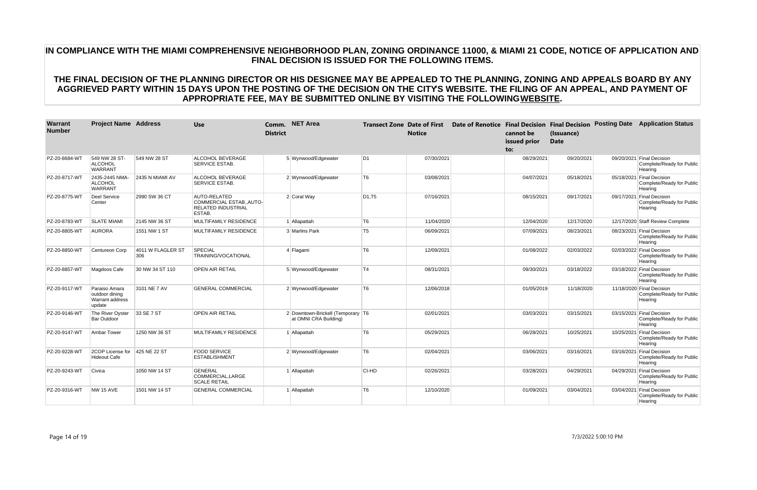| Warrant<br><b>Number</b> | <b>Project Name Address</b>                                  |                          | <b>Use</b>                                                                          | <b>District</b> | Comm. NET Area                                             |                | <b>Transect Zone Date of First</b><br><b>Notice</b> | cannot be<br>issued prior<br>to: | (Issuance)<br><b>Date</b> | Date of Renotice Final Decision Final Decision Posting Date Application Status |
|--------------------------|--------------------------------------------------------------|--------------------------|-------------------------------------------------------------------------------------|-----------------|------------------------------------------------------------|----------------|-----------------------------------------------------|----------------------------------|---------------------------|--------------------------------------------------------------------------------|
| PZ-20-8684-WT            | 549 NW 28 ST-<br><b>ALCOHOL</b><br><b>WARRANT</b>            | 549 NW 28 ST             | ALCOHOL BEVERAGE<br>SERVICE ESTAB.                                                  |                 | 5 Wynwood/Edgewater                                        | D1             | 07/30/2021                                          | 08/29/2021                       | 09/20/2021                | 09/20/2021 Final Decision<br>Complete/Ready for Public<br>Hearing              |
| PZ-20-8717-WT            | 2435-2445 NMA-<br><b>ALCOHOL</b><br><b>WARRANT</b>           | 2435 N MIAMI AV          | <b>ALCOHOL BEVERAGE</b><br>SERVICE ESTAB.                                           |                 | 2 Wynwood/Edgewater                                        | T6             | 03/08/2021                                          | 04/07/2021                       | 05/18/2021                | 05/18/2021 Final Decision<br>Complete/Ready for Public<br>Hearing              |
| PZ-20-8775-WT            | Deel Service<br>Center                                       | 2990 SW 36 CT            | <b>AUTO-RELATED</b><br>COMMERCIAL ESTABAUTO-<br><b>RELATED INDUSTRIAL</b><br>ESTAB. |                 | 2 Coral Way                                                | D1,T5          | 07/16/2021                                          | 08/15/2021                       | 09/17/2021                | 09/17/2021 Final Decision<br>Complete/Ready for Public<br>Hearing              |
| PZ-20-8783-WT            | <b>SLATE MIAMI</b>                                           | 2145 NW 36 ST            | MULTIFAMILY RESIDENCE                                                               |                 | 1 Allapattah                                               | T <sub>6</sub> | 11/04/2020                                          | 12/04/2020                       | 12/17/2020                | 12/17/2020 Staff Review Complete                                               |
| PZ-20-8805-WT            | <b>AURORA</b>                                                | 1551 NW 1 ST             | MULTIFAMILY RESIDENCE                                                               |                 | 3 Marlins Park                                             | T5             | 06/09/2021                                          | 07/09/2021                       | 08/23/2021                | 08/23/2021 Final Decision<br>Complete/Ready for Public<br>Hearing              |
| PZ-20-8850-WT            | Centureon Corp                                               | 4011 W FLAGLER ST<br>306 | <b>SPECIAL</b><br>TRAINING/VOCATIONAL                                               |                 | 4 Flagami                                                  | T6             | 12/09/2021                                          | 01/08/2022                       | 02/03/2022                | 02/03/2022 Final Decision<br>Complete/Ready for Public<br>Hearing              |
| PZ-20-8857-WT            | Magdoos Cafe                                                 | 30 NW 34 ST 110          | <b>OPEN AIR RETAIL</b>                                                              |                 | 5 Wynwood/Edgewater                                        | T4             | 08/31/2021                                          | 09/30/2021                       | 03/18/2022                | 03/18/2022 Final Decision<br>Complete/Ready for Public<br>Hearing              |
| PZ-20-9117-WT            | Paraiso Amara<br>outdoor dining<br>Warrant address<br>update | 3101 NE 7 AV             | <b>GENERAL COMMERCIAL</b>                                                           |                 | 2 Wynwood/Edgewater                                        | T6             | 12/06/2018                                          | 01/05/2019                       | 11/18/2020                | 11/18/2020 Final Decision<br>Complete/Ready for Public<br>Hearing              |
| PZ-20-9146-WT            | The River Oyster<br><b>Bar Outdoor</b>                       | 33 SE 7 ST               | <b>OPEN AIR RETAIL</b>                                                              |                 | 2 Downtown-Brickell (Temporary T6<br>at OMNI CRA Building) |                | 02/01/2021                                          | 03/03/2021                       | 03/15/2021                | 03/15/2021 Final Decision<br>Complete/Ready for Public<br>Hearing              |
| PZ-20-9147-WT            | <b>Ambar Tower</b>                                           | 1250 NW 36 ST            | MULTIFAMILY RESIDENCE                                                               |                 | 1 Allapattah                                               | T6             | 05/29/2021                                          | 06/28/2021                       | 10/25/2021                | 10/25/2021 Final Decision<br>Complete/Ready for Public<br>Hearing              |
| PZ-20-9228-WT            | 2COP License for 425 NE 22 ST<br><b>Hideout Cafe</b>         |                          | <b>FOOD SERVICE</b><br><b>ESTABLISHMENT</b>                                         |                 | 2 Wynwood/Edgewater                                        | T6             | 02/04/2021                                          | 03/06/2021                       | 03/16/2021                | 03/16/2021 Final Decision<br>Complete/Ready for Public<br>Hearing              |
| PZ-20-9243-WT            | Civica                                                       | 1050 NW 14 ST            | <b>GENERAL</b><br>COMMERCIAL.LARGE<br><b>SCALE RETAIL</b>                           |                 | 1 Allapattah                                               | CI-HD          | 02/26/2021                                          | 03/28/2021                       | 04/29/2021                | 04/29/2021 Final Decision<br>Complete/Ready for Public<br>Hearing              |
| PZ-20-9316-WT            | <b>NW 15 AVE</b>                                             | 1501 NW 14 ST            | <b>GENERAL COMMERCIAL</b>                                                           |                 | 1 Allapattah                                               | T6             | 12/10/2020                                          | 01/09/2021                       | 03/04/2021                | 03/04/2021 Final Decision<br>Complete/Ready for Public<br>Hearing              |

Page 14 of 19 7/3/2022 5:00:10 PM

# **IN COMPLIANCE WITH THE MIAMI COMPREHENSIVE NEIGHBORHOOD PLAN, ZONING ORDINANCE 11000, & MIAMI 21 CODE, NOTICE OF APPLICATION AND FINAL DECISION IS ISSUED FOR THE FOLLOWING ITEMS.**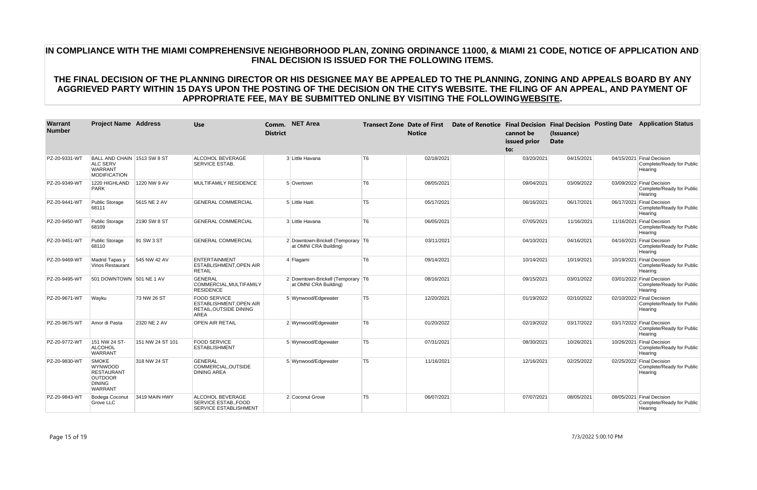| <b>Warrant</b><br><b>Number</b> | <b>Project Name Address</b>                                                                       |                  | <b>Use</b>                                                                                     | <b>District</b> | Comm. NET Area                                             |                | <b>Transect Zone Date of First</b><br><b>Notice</b> | Date of Renotice Final Decision Final Decision Posting Date | cannot be<br>issued prior<br>to: | (Issuance)<br><b>Date</b> | <b>Application Status</b>                                         |
|---------------------------------|---------------------------------------------------------------------------------------------------|------------------|------------------------------------------------------------------------------------------------|-----------------|------------------------------------------------------------|----------------|-----------------------------------------------------|-------------------------------------------------------------|----------------------------------|---------------------------|-------------------------------------------------------------------|
| PZ-20-9331-WT                   | BALL AND CHAIN 1513 SW 8 ST<br><b>ALC SERV</b><br><b>WARRANT</b><br>MODIFICATION                  |                  | <b>ALCOHOL BEVERAGE</b><br><b>SERVICE ESTAB.</b>                                               |                 | 3 Little Havana                                            | T <sub>6</sub> | 02/18/2021                                          |                                                             | 03/20/2021                       | 04/15/2021                | 04/15/2021 Final Decision<br>Complete/Ready for Public<br>Hearing |
| PZ-20-9349-WT                   | 1220 HIGHLAND<br><b>PARK</b>                                                                      | 1220 NW 9 AV     | MULTIFAMILY RESIDENCE                                                                          |                 | 5 Overtown                                                 | T <sub>6</sub> | 08/05/2021                                          |                                                             | 09/04/2021                       | 03/09/2022                | 03/09/2022 Final Decision<br>Complete/Ready for Public<br>Hearing |
| PZ-20-9441-WT                   | Public Storage<br>68111                                                                           | 5615 NE 2 AV     | <b>GENERAL COMMERCIAL</b>                                                                      |                 | 5 Little Haiti                                             | T <sub>5</sub> | 05/17/2021                                          |                                                             | 06/16/2021                       | 06/17/2021                | 06/17/2021 Final Decision<br>Complete/Ready for Public<br>Hearing |
| PZ-20-9450-WT                   | Public Storage<br>68109                                                                           | 2190 SW 8 ST     | <b>GENERAL COMMERCIAL</b>                                                                      |                 | 3 Little Havana                                            | T <sub>6</sub> | 06/05/2021                                          |                                                             | 07/05/2021                       | 11/16/2021                | 11/16/2021 Final Decision<br>Complete/Ready for Public<br>Hearing |
| PZ-20-9451-WT                   | Public Storage<br>68110                                                                           | 91 SW 3 ST       | <b>GENERAL COMMERCIAL</b>                                                                      |                 | 2 Downtown-Brickell (Temporary T6<br>at OMNI CRA Building) |                | 03/11/2021                                          |                                                             | 04/10/2021                       | 04/16/2021                | 04/16/2021 Final Decision<br>Complete/Ready for Public<br>Hearing |
| PZ-20-9469-WT                   | Madrid Tapas y<br><b>Vinos Restaurant</b>                                                         | 545 NW 42 AV     | <b>ENTERTAINMENT</b><br><b>ESTABLISHMENT, OPEN AIR</b><br><b>RETAIL</b>                        |                 | 4 Flagami                                                  | T <sub>6</sub> | 09/14/2021                                          |                                                             | 10/14/2021                       | 10/19/2021                | 10/19/2021 Final Decision<br>Complete/Ready for Public<br>Hearing |
| PZ-20-9495-WT                   | 501 DOWNTOWN 501 NE 1 AV                                                                          |                  | GENERAL<br>COMMERCIAL, MULTIFAMILY<br><b>RESIDENCE</b>                                         |                 | 2 Downtown-Brickell (Temporary T6<br>at OMNI CRA Building) |                | 08/16/2021                                          |                                                             | 09/15/2021                       | 03/01/2022                | 03/01/2022 Final Decision<br>Complete/Ready for Public<br>Hearing |
| PZ-20-9671-WT                   | Wayku                                                                                             | 73 NW 26 ST      | <b>FOOD SERVICE</b><br><b>ESTABLISHMENT, OPEN AIR</b><br>RETAIL, OUTSIDE DINING<br><b>AREA</b> |                 | 5 Wynwood/Edgewater                                        | T <sub>5</sub> | 12/20/2021                                          |                                                             | 01/19/2022                       | 02/10/2022                | 02/10/2022 Final Decision<br>Complete/Ready for Public<br>Hearing |
| PZ-20-9675-WT                   | Amor di Pasta                                                                                     | 2320 NE 2 AV     | <b>OPEN AIR RETAIL</b>                                                                         |                 | 2 Wynwood/Edgewater                                        | T <sub>6</sub> | 01/20/2022                                          |                                                             | 02/19/2022                       | 03/17/2022                | 03/17/2022 Final Decision<br>Complete/Ready for Public<br>Hearing |
| PZ-20-9772-WT                   | 151 NW 24 ST-<br>ALCOHOL<br><b>WARRANT</b>                                                        | 151 NW 24 ST 101 | <b>FOOD SERVICE</b><br><b>ESTABLISHMENT</b>                                                    |                 | 5 Wynwood/Edgewater                                        | T <sub>5</sub> | 07/31/2021                                          |                                                             | 08/30/2021                       | 10/26/2021                | 10/26/2021 Final Decision<br>Complete/Ready for Public<br>Hearing |
| PZ-20-9830-WT                   | SMOKE<br><b>WYNWOOD</b><br><b>RESTAURANT</b><br><b>OUTDOOR</b><br><b>DINING</b><br><b>WARRANT</b> | 318 NW 24 ST     | <b>GENERAL</b><br>COMMERCIAL.OUTSIDE<br><b>DINING AREA</b>                                     |                 | 5 Wynwood/Edgewater                                        | T <sub>5</sub> | 11/16/2021                                          |                                                             | 12/16/2021                       | 02/25/2022                | 02/25/2022 Final Decision<br>Complete/Ready for Public<br>Hearing |
| PZ-20-9843-WT                   | Bodega Coconut<br>Grove LLC                                                                       | 3419 MAIN HWY    | ALCOHOL BEVERAGE<br><b>SERVICE ESTAB., FOOD</b><br><b>SERVICE ESTABLISHMENT</b>                |                 | 2 Coconut Grove                                            | T <sub>5</sub> | 06/07/2021                                          |                                                             | 07/07/2021                       | 08/05/2021                | 08/05/2021 Final Decision<br>Complete/Ready for Public<br>Hearing |

Page 15 of 19 7/3/2022 5:00:10 PM

# **IN COMPLIANCE WITH THE MIAMI COMPREHENSIVE NEIGHBORHOOD PLAN, ZONING ORDINANCE 11000, & MIAMI 21 CODE, NOTICE OF APPLICATION AND FINAL DECISION IS ISSUED FOR THE FOLLOWING ITEMS.**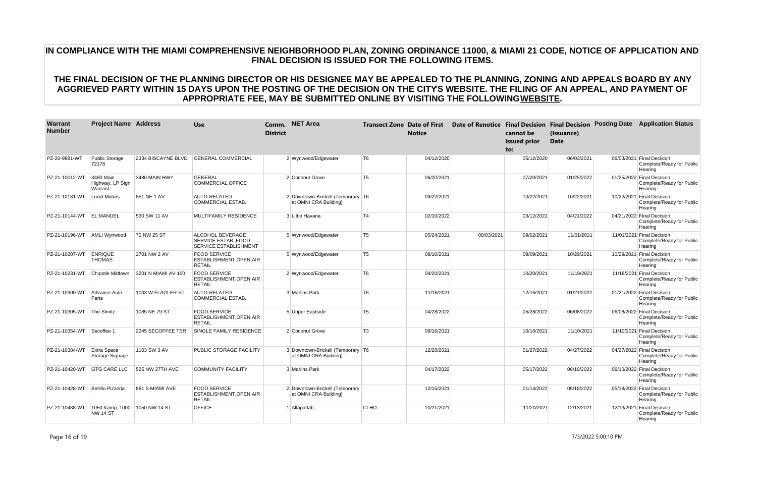| Warrant<br><b>Number</b>    | <b>Project Name Address</b>              |                     | <b>Use</b>                                                               | <b>District</b> | Comm. NET Area                                             |                | <b>Transect Zone Date of First</b><br><b>Notice</b> | Date of Renotice Final Decision Final Decision Posting Date | cannot be<br>issued prior<br>to: | (Issuance)<br><b>Date</b> | <b>Application Status</b>                                         |
|-----------------------------|------------------------------------------|---------------------|--------------------------------------------------------------------------|-----------------|------------------------------------------------------------|----------------|-----------------------------------------------------|-------------------------------------------------------------|----------------------------------|---------------------------|-------------------------------------------------------------------|
| PZ-20-9881-WT               | Public Storage<br>72178                  | 2334 BISCAYNE BLVD  | <b>GENERAL COMMERCIAL</b>                                                |                 | 2 Wynwood/Edgewater                                        | T6             | 04/12/2020                                          |                                                             | 05/12/2020                       | 06/03/2021                | 06/03/2021 Final Decision<br>Complete/Ready for Public<br>Hearing |
| PZ-21-10012-WT              | 3480 Main<br>Highway, LP Sign<br>Warrant | 3480 MAIN HWY       | <b>GENERAL</b><br>COMMERCIAL.OFFICE                                      |                 | 2 Coconut Grove                                            | T <sub>5</sub> | 06/20/2021                                          |                                                             | 07/20/2021                       | 01/25/2022                | 01/25/2022 Final Decision<br>Complete/Ready for Public<br>Hearing |
| PZ-21-10131-WT              | <b>Lucid Motors</b>                      | 851 NE 1 AV         | AUTO-RELATED<br>COMMERCIAL ESTAB.                                        |                 | 2 Downtown-Brickell (Temporary T6<br>at OMNI CRA Building) |                | 09/22/2021                                          |                                                             | 10/22/2021                       | 10/22/2021                | 10/22/2021 Final Decision<br>Complete/Ready for Public<br>Hearing |
| PZ-21-10144-WT              | <b>EL MANUEL</b>                         | 530 SW 11 AV        | <b>MULTIFAMILY RESIDENCE</b>                                             |                 | 3 Little Havana                                            | T4             | 02/10/2022                                          |                                                             | 03/12/2022                       | 04/21/2022                | 04/21/2022 Final Decision<br>Complete/Ready for Public<br>Hearing |
| PZ-21-10196-WT AMLI Wynwood |                                          | 70 NW 25 ST         | ALCOHOL BEVERAGE<br>SERVICE ESTAB., FOOD<br><b>SERVICE ESTABLISHMENT</b> |                 | 5 Wynwood/Edgewater                                        | T5             | 05/24/2021                                          | 08/03/2021                                                  | 09/02/2021                       | 11/01/2021                | 11/01/2021 Final Decision<br>Complete/Ready for Public<br>Hearing |
| PZ-21-10207-WT              | <b>ENRIQUE</b><br><b>THOMAS</b>          | 2701 NW 2 AV        | <b>FOOD SERVICE</b><br>ESTABLISHMENT, OPEN AIR<br><b>RETAIL</b>          |                 | 5 Wynwood/Edgewater                                        | T5             | 08/10/2021                                          |                                                             | 09/09/2021                       | 10/29/2021                | 10/29/2021 Final Decision<br>Complete/Ready for Public<br>Hearing |
| PZ-21-10231-WT              | Chipotle Midtown                         | 3201 N MIAMI AV 100 | <b>FOOD SERVICE</b><br>ESTABLISHMENT, OPEN AIR<br><b>RETAIL</b>          |                 | 2 Wynwood/Edgewater                                        | T <sub>6</sub> | 09/20/2021                                          |                                                             | 10/20/2021                       | 11/18/2021                | 11/18/2021 Final Decision<br>Complete/Ready for Public<br>Hearing |
| PZ-21-10300-WT              | Advance Auto<br>Parts                    | 1003 W FLAGLER ST   | AUTO-RELATED<br><b>COMMERCIAL ESTAB.</b>                                 |                 | 3 Marlins Park                                             | T6             | 11/16/2021                                          |                                                             | 12/16/2021                       | 01/21/2022                | 01/21/2022 Final Decision<br>Complete/Ready for Public<br>Hearing |
| PZ-21-10305-WT              | The Shnitz                               | 1085 NE 79 ST       | <b>FOOD SERVICE</b><br>ESTABLISHMENT, OPEN AIR<br><b>RETAIL</b>          |                 | 5 Upper Eastside                                           | T5             | 04/28/2022                                          |                                                             | 05/28/2022                       | 06/08/2022                | 06/08/2022 Final Decision<br>Complete/Ready for Public<br>Hearing |
| PZ-21-10354-WT              | Secoffee 1                               | 2245 SECOFFEE TER   | SINGLE FAMILY RESIDENCE                                                  |                 | 2 Coconut Grove                                            | T3             | 09/16/2021                                          |                                                             | 10/16/2021                       | 11/10/2021                | 11/10/2021 Final Decision<br>Complete/Ready for Public<br>Hearing |
| PZ-21-10384-WT              | <b>Extra Space</b><br>Storage Signage    | 1103 SW 3 AV        | PUBLIC STORAGE FACILITY                                                  |                 | 3 Downtown-Brickell (Temporary T6<br>at OMNI CRA Building) |                | 12/28/2021                                          |                                                             | 01/27/2022                       | 04/27/2022                | 04/27/2022 Final Decision<br>Complete/Ready for Public<br>Hearing |
| PZ-21-10420-WT              | <b>GTG CARE LLC</b>                      | 525 NW 27TH AVE     | <b>COMMUNITY FACILITY</b>                                                |                 | 3 Marlins Park                                             |                | 04/17/2022                                          |                                                             | 05/17/2022                       | 06/10/2022                | 06/10/2022 Final Decision<br>Complete/Ready for Public<br>Hearing |
| PZ-21-10428-WT              | Bellillo Pizzeria                        | 881 S MIAMI AVE     | <b>FOOD SERVICE</b><br><b>ESTABLISHMENT, OPEN AIR</b><br><b>RETAIL</b>   |                 | 2 Downtown-Brickell (Temporary<br>at OMNI CRA Building)    |                | 12/15/2021                                          |                                                             | 01/14/2022                       | 05/18/2022                | 05/18/2022 Final Decision<br>Complete/Ready for Public<br>Hearing |
| PZ-21-10438-WT              | 1050 & 1000<br><b>NW 14 ST</b>           | 1050 NW 14 ST       | <b>OFFICE</b>                                                            |                 | 1 Allapattah                                               | CI-HD          | 10/21/2021                                          |                                                             | 11/20/2021                       | 12/13/2021                | 12/13/2021 Final Decision<br>Complete/Ready for Public<br>Hearing |

Page 16 of 19 7/3/2022 5:00:10 PM

# **IN COMPLIANCE WITH THE MIAMI COMPREHENSIVE NEIGHBORHOOD PLAN, ZONING ORDINANCE 11000, & MIAMI 21 CODE, NOTICE OF APPLICATION AND FINAL DECISION IS ISSUED FOR THE FOLLOWING ITEMS.**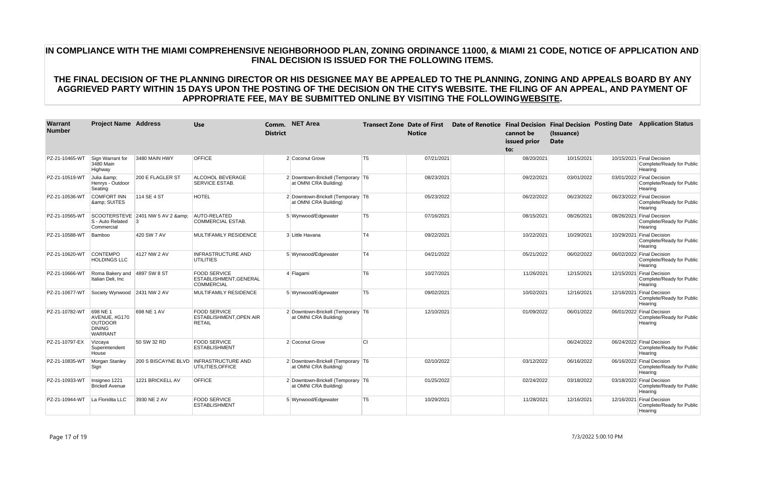| <b>Warrant</b><br><b>Number</b> | <b>Project Name Address</b>                                                    |                                          | <b>Use</b>                                                         | <b>District</b> | Comm. NET Area                                             |                | <b>Transect Zone Date of First</b><br><b>Notice</b> | cannot be<br>issued prior<br>to: | (Issuance)<br><b>Date</b> | Date of Renotice Final Decision Final Decision Posting Date Application Status |
|---------------------------------|--------------------------------------------------------------------------------|------------------------------------------|--------------------------------------------------------------------|-----------------|------------------------------------------------------------|----------------|-----------------------------------------------------|----------------------------------|---------------------------|--------------------------------------------------------------------------------|
| PZ-21-10465-WT                  | Sign Warrant for<br>3480 Main<br>Highway                                       | 3480 MAIN HWY                            | <b>OFFICE</b>                                                      |                 | 2 Coconut Grove                                            | T5             | 07/21/2021                                          | 08/20/2021                       | 10/15/2021                | 10/15/2021 Final Decision<br>Complete/Ready for Public<br>Hearing              |
| PZ-21-10519-WT                  | Julia &<br>Henrys - Outdoor<br>Seating                                         | 200 E FLAGLER ST                         | ALCOHOL BEVERAGE<br>SERVICE ESTAB.                                 |                 | 2 Downtown-Brickell (Temporary T6<br>at OMNI CRA Building) |                | 08/23/2021                                          | 09/22/2021                       | 03/01/2022                | 03/01/2022 Final Decision<br>Complete/Ready for Public<br>Hearing              |
| PZ-21-10536-WT                  | COMFORT INN<br>& SUITES                                                        | 114 SE 4 ST                              | <b>HOTEL</b>                                                       |                 | 2 Downtown-Brickell (Temporary T6<br>at OMNI CRA Building) |                | 05/23/2022                                          | 06/22/2022                       | 06/23/2022                | 06/23/2022 Final Decision<br>Complete/Ready for Public<br>Hearing              |
| PZ-21-10565-WT                  | S - Auto Related<br>Commercial                                                 | SCOOTERSTEVE 2401 NW 5 AV 2 & amp;<br> 3 | AUTO-RELATED<br><b>COMMERCIAL ESTAB.</b>                           |                 | 5 Wynwood/Edgewater                                        | T5             | 07/16/2021                                          | 08/15/2021                       | 08/26/2021                | 08/26/2021 Final Decision<br>Complete/Ready for Public<br>Hearing              |
| PZ-21-10588-WT                  | Bamboo                                                                         | 420 SW 7 AV                              | MULTIFAMILY RESIDENCE                                              |                 | 3 Little Havana                                            | T4             | 09/22/2021                                          | 10/22/2021                       | 10/29/2021                | 10/29/2021 Final Decision<br>Complete/Ready for Public<br>Hearing              |
| PZ-21-10620-WT                  | <b>CONTEMPO</b><br><b>HOLDINGS LLC</b>                                         | 4127 NW 2 AV                             | <b>INFRASTRUCTURE AND</b><br><b>UTILITIES</b>                      |                 | 5 Wynwood/Edgewater                                        | T4             | 04/21/2022                                          | 05/21/2022                       | 06/02/2022                | 06/02/2022 Final Decision<br>Complete/Ready for Public<br>Hearing              |
| PZ-21-10666-WT                  | Roma Bakery and<br>Italian Deli, Inc                                           | 4897 SW 8 ST                             | <b>FOOD SERVICE</b><br>ESTABLISHMENT, GENERAL<br><b>COMMERCIAL</b> |                 | 4 Flagami                                                  | T6             | 10/27/2021                                          | 11/26/2021                       | 12/15/2021                | 12/15/2021 Final Decision<br>Complete/Ready for Public<br>Hearing              |
| PZ-21-10677-WT                  | Society Wynwood 2431 NW 2 AV                                                   |                                          | MULTIFAMILY RESIDENCE                                              |                 | 5 Wynwood/Edgewater                                        | T5             | 09/02/2021                                          | 10/02/2021                       | 12/16/2021                | 12/16/2021 Final Decision<br>Complete/Ready for Public<br>Hearing              |
| PZ-21-10782-WT                  | 698 NE 1<br>AVENUE, #G170<br><b>OUTDOOR</b><br><b>DINING</b><br><b>WARRANT</b> | 698 NE 1 AV                              | <b>FOOD SERVICE</b><br>ESTABLISHMENT, OPEN AIR<br><b>RETAIL</b>    |                 | 2 Downtown-Brickell (Temporary T6<br>at OMNI CRA Building) |                | 12/10/2021                                          | 01/09/2022                       | 06/01/2022                | 06/01/2022 Final Decision<br>Complete/Ready for Public<br>Hearing              |
| PZ-21-10797-EX                  | Vizcaya<br>Superintendent<br>House                                             | 50 SW 32 RD                              | <b>FOOD SERVICE</b><br><b>ESTABLISHMENT</b>                        |                 | 2 Coconut Grove                                            | lcı            |                                                     |                                  | 06/24/2022                | 06/24/2022 Final Decision<br>Complete/Ready for Public<br>Hearing              |
| PZ-21-10835-WT                  | Morgan Stanley<br>Sign                                                         | 200 S BISCAYNE BLVD                      | <b>INFRASTRUCTURE AND</b><br>UTILITIES, OF FICE                    |                 | 2 Downtown-Brickell (Temporary T6<br>at OMNI CRA Building) |                | 02/10/2022                                          | 03/12/2022                       | 06/16/2022                | 06/16/2022 Final Decision<br>Complete/Ready for Public<br>Hearing              |
| PZ-21-10933-WT                  | Insigneo 1221<br><b>Brickell Avenue</b>                                        | 1221 BRICKELL AV                         | <b>OFFICE</b>                                                      |                 | 2 Downtown-Brickell (Temporary T6<br>at OMNI CRA Building) |                | 01/25/2022                                          | 02/24/2022                       | 03/18/2022                | 03/18/2022 Final Decision<br>Complete/Ready for Public<br>Hearing              |
| PZ-21-10944-WT                  | La Floridita LLC                                                               | 3930 NE 2 AV                             | <b>FOOD SERVICE</b><br><b>ESTABLISHMENT</b>                        |                 | 5 Wynwood/Edgewater                                        | T <sub>5</sub> | 10/29/2021                                          | 11/28/2021                       | 12/16/2021                | 12/16/2021 Final Decision<br>Complete/Ready for Public<br>Hearing              |

Page 17 of 19 7/3/2022 5:00:10 PM

# **IN COMPLIANCE WITH THE MIAMI COMPREHENSIVE NEIGHBORHOOD PLAN, ZONING ORDINANCE 11000, & MIAMI 21 CODE, NOTICE OF APPLICATION AND FINAL DECISION IS ISSUED FOR THE FOLLOWING ITEMS.**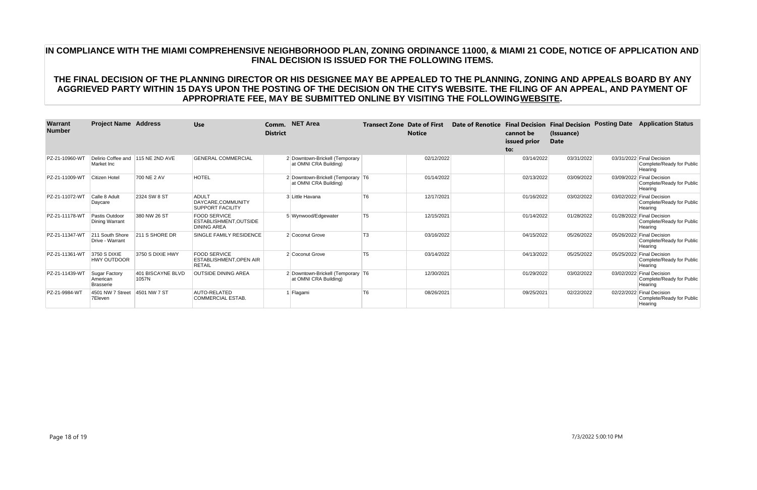| Warrant<br><b>Number</b> | <b>Project Name Address</b>                     |                            | <b>Use</b>                                                            | Comm.<br><b>District</b> | <b>NET Area</b>                                            |                | <b>Transect Zone Date of First</b><br><b>Notice</b> | Date of Renotice Final Decision Final Decision Posting Date | cannot be<br>issued prior<br>to: | (Issuance)<br>Date | <b>Application Status</b>                                         |
|--------------------------|-------------------------------------------------|----------------------------|-----------------------------------------------------------------------|--------------------------|------------------------------------------------------------|----------------|-----------------------------------------------------|-------------------------------------------------------------|----------------------------------|--------------------|-------------------------------------------------------------------|
| PZ-21-10960-WT           | Delirio Coffee and 115 NE 2ND AVE<br>Market Inc |                            | <b>GENERAL COMMERCIAL</b>                                             |                          | 2 Downtown-Brickell (Temporary<br>at OMNI CRA Building)    |                | 02/12/2022                                          |                                                             | 03/14/2022                       | 03/31/2022         | 03/31/2022 Final Decision<br>Complete/Ready for Public<br>Hearing |
| PZ-21-11009-WT           | Citizen Hotel                                   | 700 NE 2 AV                | <b>HOTEL</b>                                                          |                          | 2 Downtown-Brickell (Temporary T6<br>at OMNI CRA Building) |                | 01/14/2022                                          |                                                             | 02/13/2022                       | 03/09/2022         | 03/09/2022 Final Decision<br>Complete/Ready for Public<br>Hearing |
| PZ-21-11072-WT           | Calle 8 Adult<br>Daycare                        | 2324 SW 8 ST               | <b>ADULT</b><br>DAYCARE, COMMUNITY<br><b>SUPPORT FACILITY</b>         |                          | 3 Little Havana                                            | T <sub>6</sub> | 12/17/2021                                          |                                                             | 01/16/2022                       | 03/02/2022         | 03/02/2022 Final Decision<br>Complete/Ready for Public<br>Hearing |
| PZ-21-11178-WT           | Pastis Outdoor<br><b>Dining Warrant</b>         | 380 NW 26 ST               | <b>FOOD SERVICE</b><br>ESTABLISHMENT.OUTSIDE<br><b>DINING AREA</b>    |                          | 5 Wynwood/Edgewater                                        | T <sub>5</sub> | 12/15/2021                                          |                                                             | 01/14/2022                       | 01/28/2022         | 01/28/2022 Final Decision<br>Complete/Ready for Public<br>Hearing |
| PZ-21-11347-WT           | 211 South Shore<br>Drive - Warrant              | 211 S SHORE DR             | <b>SINGLE FAMILY RESIDENCE</b>                                        |                          | 2 Coconut Grove                                            | T <sub>3</sub> | 03/16/2022                                          |                                                             | 04/15/2022                       | 05/26/2022         | 05/26/2022 Final Decision<br>Complete/Ready for Public<br>Hearing |
| PZ-21-11361-WT           | 3750 S DIXIE<br><b>HWY OUTDOOR</b>              | 3750 S DIXIE HWY           | <b>FOOD SERVICE</b><br><b>ESTABLISHMENT.OPEN AIR</b><br><b>RETAIL</b> |                          | 2 Coconut Grove                                            | T <sub>5</sub> | 03/14/2022                                          |                                                             | 04/13/2022                       | 05/25/2022         | 05/25/2022 Final Decision<br>Complete/Ready for Public<br>Hearing |
| PZ-21-11439-WT           | <b>Sugar Factory</b><br>American<br>Brasserie   | 401 BISCAYNE BLVD<br>1057N | <b>OUTSIDE DINING AREA</b>                                            |                          | 2 Downtown-Brickell (Temporary T6<br>at OMNI CRA Building) |                | 12/30/2021                                          |                                                             | 01/29/2022                       | 03/02/2022         | 03/02/2022 Final Decision<br>Complete/Ready for Public<br>Hearing |
| PZ-21-9984-WT            | 4501 NW 7 Street<br>7Eleven                     | 4501 NW 7 ST               | <b>AUTO-RELATED</b><br><b>COMMERCIAL ESTAB.</b>                       |                          | Flagami                                                    | T <sub>6</sub> | 08/26/2021                                          |                                                             | 09/25/2021                       | 02/22/2022         | 02/22/2022 Final Decision<br>Complete/Ready for Public<br>Hearing |

#### Page 18 of 19 7/3/2022 5:00:10 PM

# **IN COMPLIANCE WITH THE MIAMI COMPREHENSIVE NEIGHBORHOOD PLAN, ZONING ORDINANCE 11000, & MIAMI 21 CODE, NOTICE OF APPLICATION AND FINAL DECISION IS ISSUED FOR THE FOLLOWING ITEMS.**